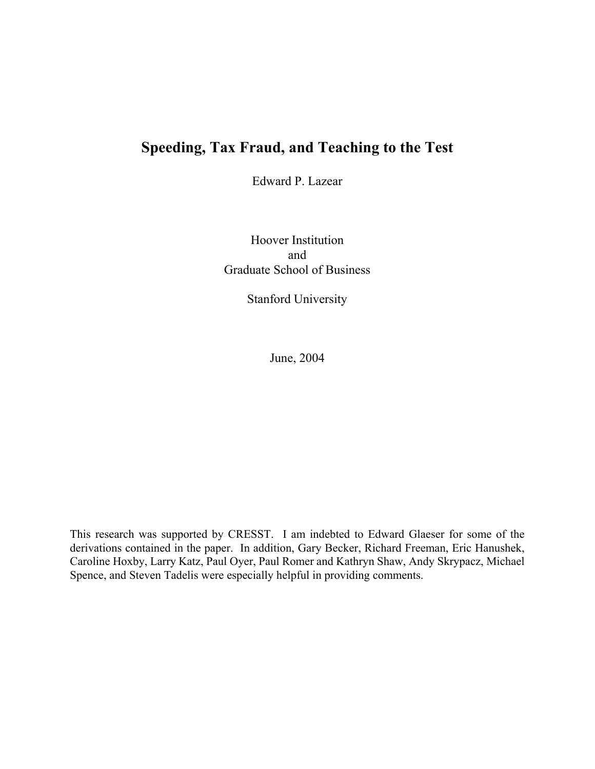## **Speeding, Tax Fraud, and Teaching to the Test**

Edward P. Lazear

Hoover Institution and Graduate School of Business

Stanford University

June, 2004

This research was supported by CRESST. I am indebted to Edward Glaeser for some of the derivations contained in the paper. In addition, Gary Becker, Richard Freeman, Eric Hanushek, Caroline Hoxby, Larry Katz, Paul Oyer, Paul Romer and Kathryn Shaw, Andy Skrypacz, Michael Spence, and Steven Tadelis were especially helpful in providing comments.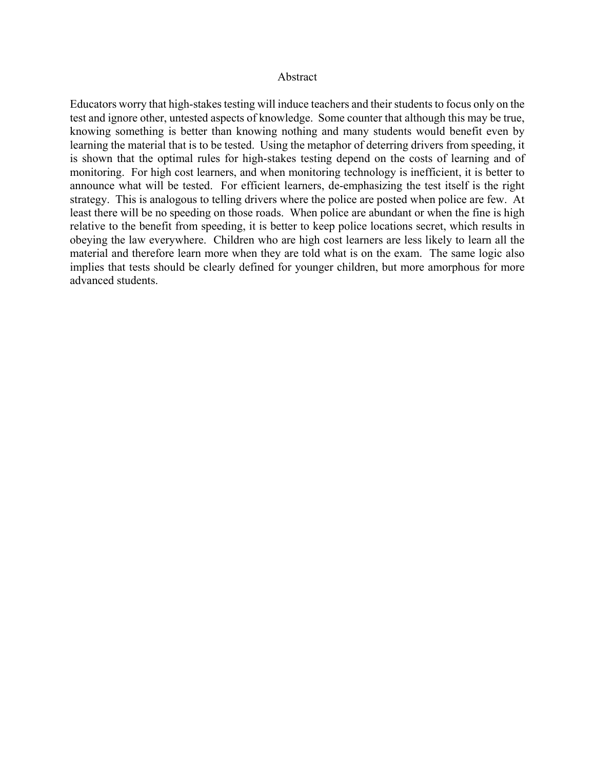## Abstract

Educators worry that high-stakes testing will induce teachers and their students to focus only on the test and ignore other, untested aspects of knowledge. Some counter that although this may be true, knowing something is better than knowing nothing and many students would benefit even by learning the material that is to be tested. Using the metaphor of deterring drivers from speeding, it is shown that the optimal rules for high-stakes testing depend on the costs of learning and of monitoring. For high cost learners, and when monitoring technology is inefficient, it is better to announce what will be tested. For efficient learners, de-emphasizing the test itself is the right strategy. This is analogous to telling drivers where the police are posted when police are few. At least there will be no speeding on those roads. When police are abundant or when the fine is high relative to the benefit from speeding, it is better to keep police locations secret, which results in obeying the law everywhere. Children who are high cost learners are less likely to learn all the material and therefore learn more when they are told what is on the exam. The same logic also implies that tests should be clearly defined for younger children, but more amorphous for more advanced students.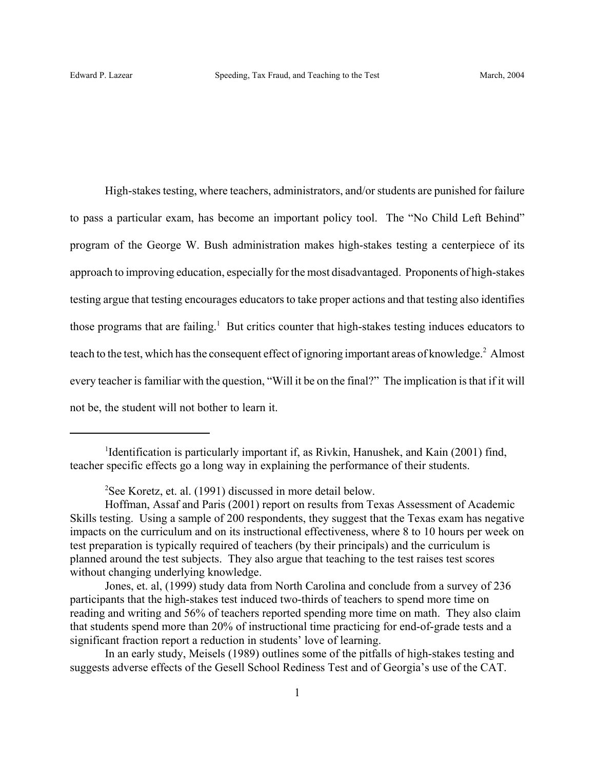High-stakes testing, where teachers, administrators, and/or students are punished for failure to pass a particular exam, has become an important policy tool. The "No Child Left Behind" program of the George W. Bush administration makes high-stakes testing a centerpiece of its approach to improving education, especially for the most disadvantaged. Proponents of high-stakes testing argue that testing encourages educators to take proper actions and that testing also identifies those programs that are failing.<sup>1</sup> But critics counter that high-stakes testing induces educators to teach to the test, which has the consequent effect of ignoring important areas of knowledge.<sup>2</sup> Almost every teacher is familiar with the question, "Will it be on the final?" The implication is that if it will not be, the student will not bother to learn it.

<sup>&</sup>lt;sup>1</sup>Identification is particularly important if, as Rivkin, Hanushek, and Kain (2001) find, teacher specific effects go a long way in explaining the performance of their students.

<sup>2</sup> See Koretz, et. al. (1991) discussed in more detail below.

Hoffman, Assaf and Paris (2001) report on results from Texas Assessment of Academic Skills testing. Using a sample of 200 respondents, they suggest that the Texas exam has negative impacts on the curriculum and on its instructional effectiveness, where 8 to 10 hours per week on test preparation is typically required of teachers (by their principals) and the curriculum is planned around the test subjects. They also argue that teaching to the test raises test scores without changing underlying knowledge.

Jones, et. al, (1999) study data from North Carolina and conclude from a survey of 236 participants that the high-stakes test induced two-thirds of teachers to spend more time on reading and writing and 56% of teachers reported spending more time on math. They also claim that students spend more than 20% of instructional time practicing for end-of-grade tests and a significant fraction report a reduction in students' love of learning.

In an early study, Meisels (1989) outlines some of the pitfalls of high-stakes testing and suggests adverse effects of the Gesell School Rediness Test and of Georgia's use of the CAT.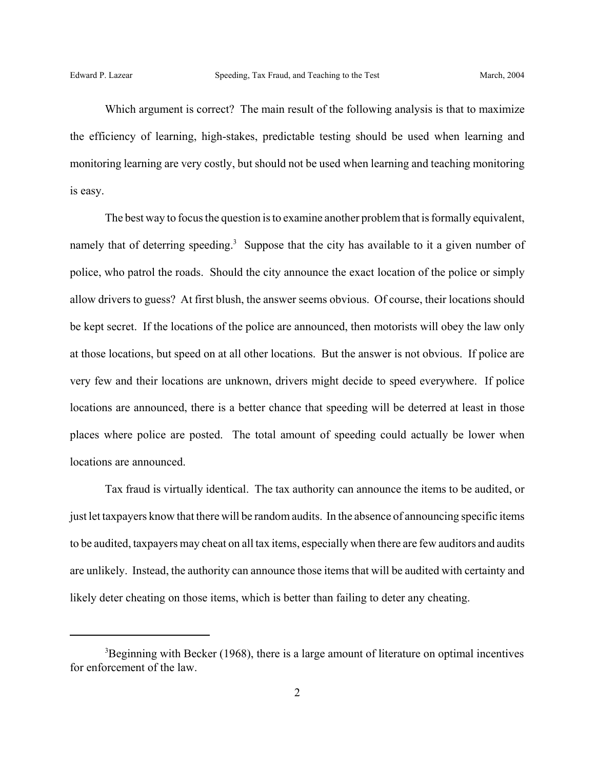Which argument is correct? The main result of the following analysis is that to maximize the efficiency of learning, high-stakes, predictable testing should be used when learning and monitoring learning are very costly, but should not be used when learning and teaching monitoring is easy.

The best way to focus the question is to examine another problem that is formally equivalent, namely that of deterring speeding.<sup>3</sup> Suppose that the city has available to it a given number of police, who patrol the roads. Should the city announce the exact location of the police or simply allow drivers to guess? At first blush, the answer seems obvious. Of course, their locations should be kept secret. If the locations of the police are announced, then motorists will obey the law only at those locations, but speed on at all other locations. But the answer is not obvious. If police are very few and their locations are unknown, drivers might decide to speed everywhere. If police locations are announced, there is a better chance that speeding will be deterred at least in those places where police are posted. The total amount of speeding could actually be lower when locations are announced.

Tax fraud is virtually identical. The tax authority can announce the items to be audited, or just let taxpayers know that there will be random audits. In the absence of announcing specific items to be audited, taxpayers may cheat on all tax items, especially when there are few auditors and audits are unlikely. Instead, the authority can announce those items that will be audited with certainty and likely deter cheating on those items, which is better than failing to deter any cheating.

<sup>&</sup>lt;sup>3</sup>Beginning with Becker (1968), there is a large amount of literature on optimal incentives for enforcement of the law.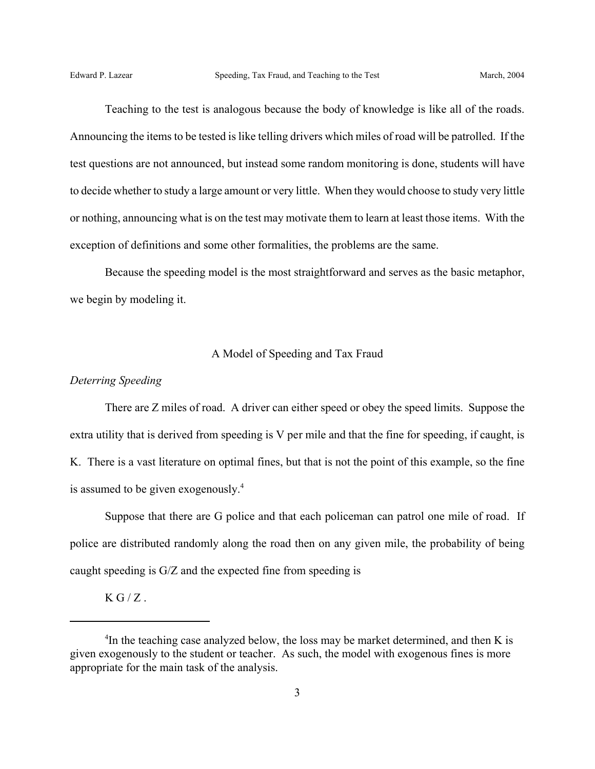Teaching to the test is analogous because the body of knowledge is like all of the roads. Announcing the items to be tested is like telling drivers which miles of road will be patrolled. If the test questions are not announced, but instead some random monitoring is done, students will have to decide whether to study a large amount or very little. When they would choose to study very little or nothing, announcing what is on the test may motivate them to learn at least those items. With the exception of definitions and some other formalities, the problems are the same.

Because the speeding model is the most straightforward and serves as the basic metaphor, we begin by modeling it.

## A Model of Speeding and Tax Fraud

## *Deterring Speeding*

There are Z miles of road. A driver can either speed or obey the speed limits. Suppose the extra utility that is derived from speeding is V per mile and that the fine for speeding, if caught, is K. There is a vast literature on optimal fines, but that is not the point of this example, so the fine is assumed to be given exogenously.<sup>4</sup>

Suppose that there are G police and that each policeman can patrol one mile of road. If police are distributed randomly along the road then on any given mile, the probability of being caught speeding is G/Z and the expected fine from speeding is

 $KG/Z$ .

<sup>&</sup>lt;sup>4</sup>In the teaching case analyzed below, the loss may be market determined, and then K is given exogenously to the student or teacher. As such, the model with exogenous fines is more appropriate for the main task of the analysis.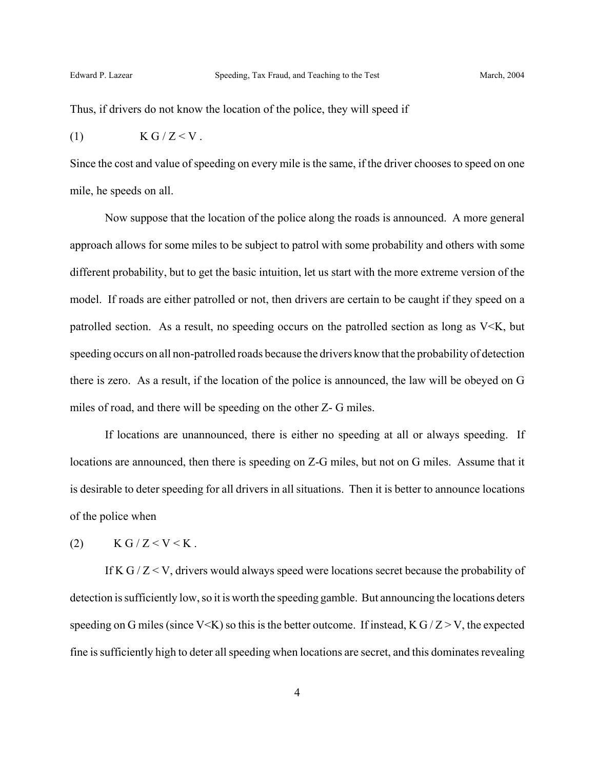Thus, if drivers do not know the location of the police, they will speed if

$$
(1) \t\t K G/Z < V.
$$

Since the cost and value of speeding on every mile is the same, if the driver chooses to speed on one mile, he speeds on all.

Now suppose that the location of the police along the roads is announced. A more general approach allows for some miles to be subject to patrol with some probability and others with some different probability, but to get the basic intuition, let us start with the more extreme version of the model. If roads are either patrolled or not, then drivers are certain to be caught if they speed on a patrolled section. As a result, no speeding occurs on the patrolled section as long as V<K, but speeding occurs on all non-patrolled roads because the drivers know that the probability of detection there is zero. As a result, if the location of the police is announced, the law will be obeyed on G miles of road, and there will be speeding on the other Z- G miles.

If locations are unannounced, there is either no speeding at all or always speeding. If locations are announced, then there is speeding on Z-G miles, but not on G miles. Assume that it is desirable to deter speeding for all drivers in all situations. Then it is better to announce locations of the police when

(2)  $K G/Z < V < K$ .

If K G  $/Z < V$ , drivers would always speed were locations secret because the probability of detection is sufficiently low, so it is worth the speeding gamble. But announcing the locations deters speeding on G miles (since V<K) so this is the better outcome. If instead,  $K G/Z > V$ , the expected fine is sufficiently high to deter all speeding when locations are secret, and this dominates revealing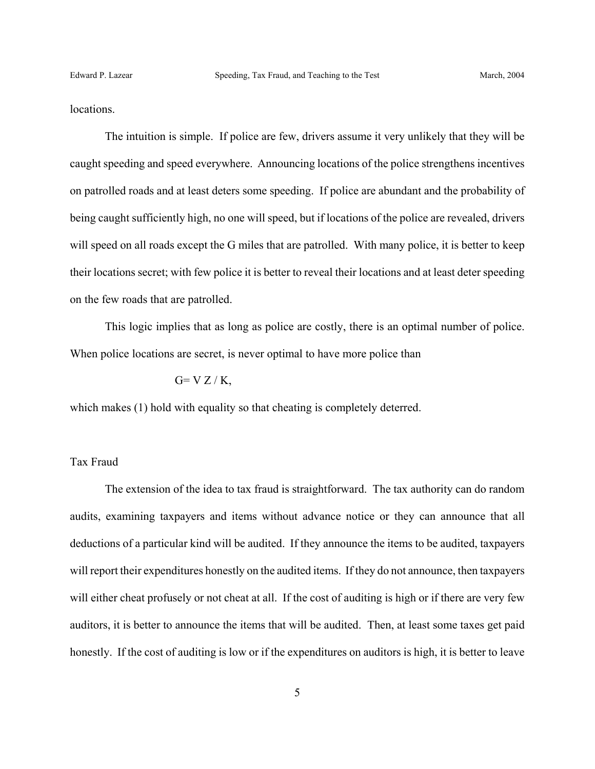locations.

The intuition is simple. If police are few, drivers assume it very unlikely that they will be caught speeding and speed everywhere. Announcing locations of the police strengthens incentives on patrolled roads and at least deters some speeding. If police are abundant and the probability of being caught sufficiently high, no one will speed, but if locations of the police are revealed, drivers will speed on all roads except the G miles that are patrolled. With many police, it is better to keep their locations secret; with few police it is better to reveal their locations and at least deter speeding on the few roads that are patrolled.

This logic implies that as long as police are costly, there is an optimal number of police. When police locations are secret, is never optimal to have more police than

## $G= V Z/K$ ,

which makes (1) hold with equality so that cheating is completely deterred.

## Tax Fraud

The extension of the idea to tax fraud is straightforward. The tax authority can do random audits, examining taxpayers and items without advance notice or they can announce that all deductions of a particular kind will be audited. If they announce the items to be audited, taxpayers will report their expenditures honestly on the audited items. If they do not announce, then taxpayers will either cheat profusely or not cheat at all. If the cost of auditing is high or if there are very few auditors, it is better to announce the items that will be audited. Then, at least some taxes get paid honestly. If the cost of auditing is low or if the expenditures on auditors is high, it is better to leave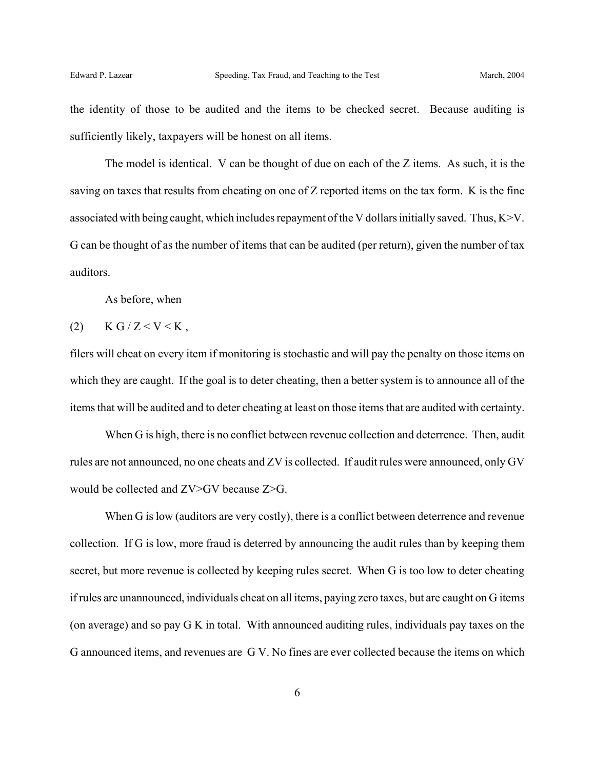the identity of those to be audited and the items to be checked secret. Because auditing is sufficiently likely, taxpayers will be honest on all items.

The model is identical. V can be thought of due on each of the Z items. As such, it is the saving on taxes that results from cheating on one of Z reported items on the tax form. K is the fine associated with being caught, which includes repayment of the V dollars initially saved. Thus, K>V. G can be thought of as the number of items that can be audited (per return), given the number of tax auditors.

As before, when

$$
(2) \qquad K G/Z < V < K,
$$

filers will cheat on every item if monitoring is stochastic and will pay the penalty on those items on which they are caught. If the goal is to deter cheating, then a better system is to announce all of the items that will be audited and to deter cheating at least on those items that are audited with certainty.

When G is high, there is no conflict between revenue collection and deterrence. Then, audit rules are not announced, no one cheats and ZV is collected. If audit rules were announced, only GV would be collected and ZV>GV because Z>G.

When G is low (auditors are very costly), there is a conflict between deterrence and revenue collection. If G is low, more fraud is deterred by announcing the audit rules than by keeping them secret, but more revenue is collected by keeping rules secret. When G is too low to deter cheating if rules are unannounced, individuals cheat on all items, paying zero taxes, but are caught on G items (on average) and so pay G K in total. With announced auditing rules, individuals pay taxes on the G announced items, and revenues are G V. No fines are ever collected because the items on which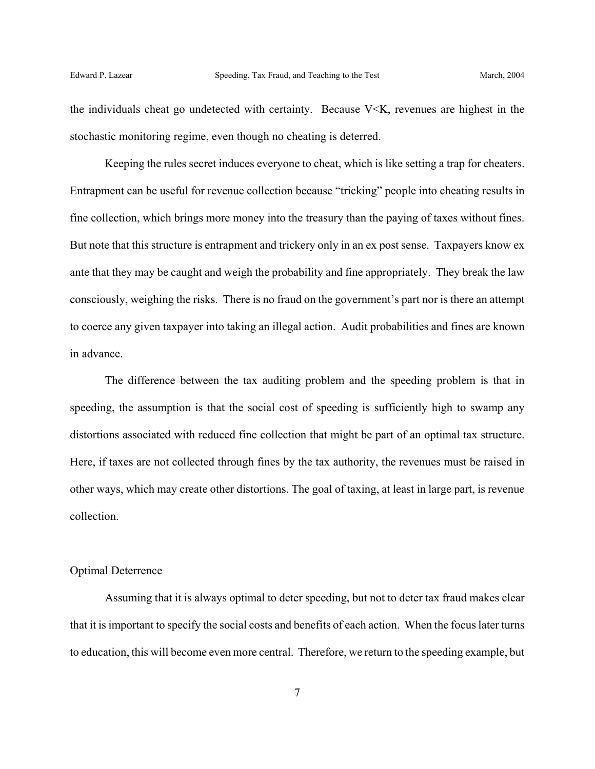the individuals cheat go undetected with certainty. Because  $V \le K$ , revenues are highest in the stochastic monitoring regime, even though no cheating is deterred.

Keeping the rules secret induces everyone to cheat, which is like setting a trap for cheaters. Entrapment can be useful for revenue collection because "tricking" people into cheating results in fine collection, which brings more money into the treasury than the paying of taxes without fines. But note that this structure is entrapment and trickery only in an ex post sense. Taxpayers know ex ante that they may be caught and weigh the probability and fine appropriately. They break the law consciously, weighing the risks. There is no fraud on the government's part nor is there an attempt to coerce any given taxpayer into taking an illegal action. Audit probabilities and fines are known in advance.

The difference between the tax auditing problem and the speeding problem is that in speeding, the assumption is that the social cost of speeding is sufficiently high to swamp any distortions associated with reduced fine collection that might be part of an optimal tax structure. Here, if taxes are not collected through fines by the tax authority, the revenues must be raised in other ways, which may create other distortions. The goal of taxing, at least in large part, is revenue collection.

## Optimal Deterrence

Assuming that it is always optimal to deter speeding, but not to deter tax fraud makes clear that it is important to specify the social costs and benefits of each action. When the focus later turns to education, this will become even more central. Therefore, we return to the speeding example, but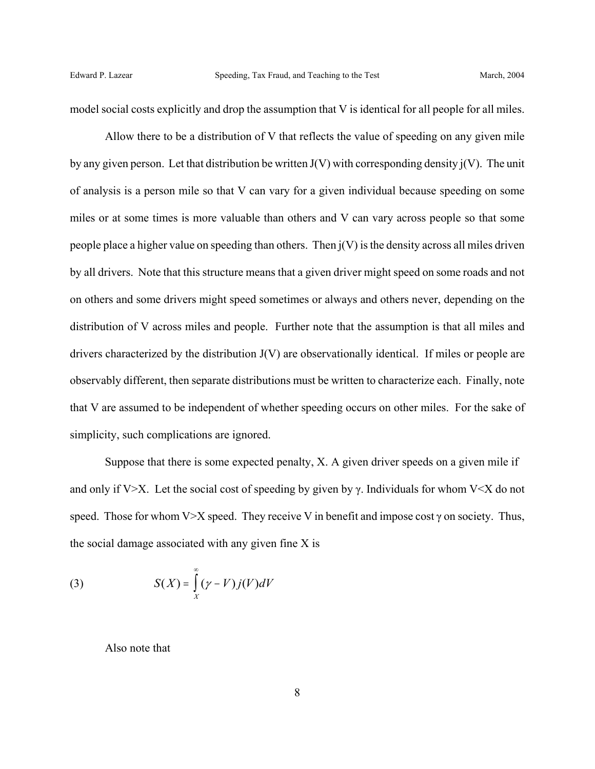model social costs explicitly and drop the assumption that V is identical for all people for all miles.

Allow there to be a distribution of V that reflects the value of speeding on any given mile by any given person. Let that distribution be written  $J(V)$  with corresponding density  $j(V)$ . The unit of analysis is a person mile so that V can vary for a given individual because speeding on some miles or at some times is more valuable than others and V can vary across people so that some people place a higher value on speeding than others. Then  $j(V)$  is the density across all miles driven by all drivers. Note that this structure means that a given driver might speed on some roads and not on others and some drivers might speed sometimes or always and others never, depending on the distribution of V across miles and people. Further note that the assumption is that all miles and drivers characterized by the distribution J(V) are observationally identical. If miles or people are observably different, then separate distributions must be written to characterize each. Finally, note that V are assumed to be independent of whether speeding occurs on other miles. For the sake of simplicity, such complications are ignored.

Suppose that there is some expected penalty, X. A given driver speeds on a given mile if and only if V $>$ X. Let the social cost of speeding by given by γ. Individuals for whom V $\lt X$  do not speed. Those for whom V $>$ X speed. They receive V in benefit and impose cost  $\gamma$  on society. Thus, the social damage associated with any given fine X is

(3) 
$$
S(X) = \int_{X}^{\infty} (\gamma - V) j(V) dV
$$

Also note that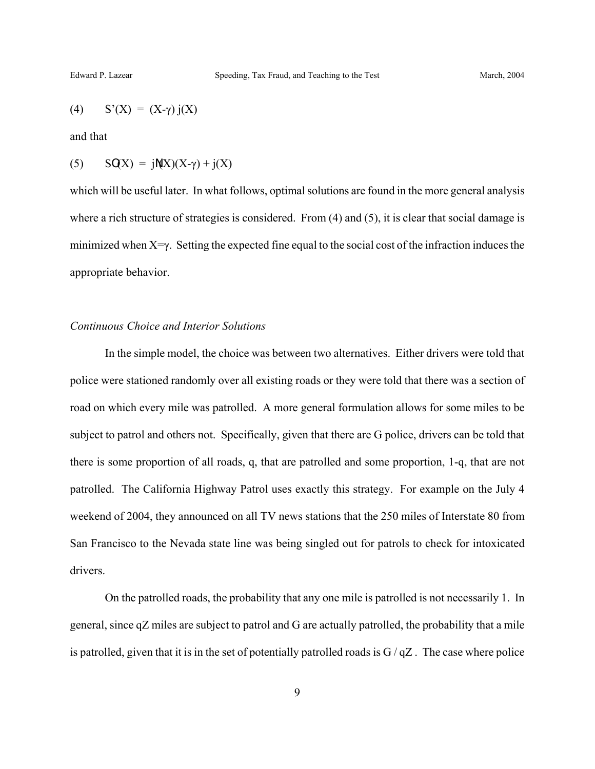$$
(4) \qquad S'(X) = (X-\gamma) j(X)
$$

and that

$$
(5) \qquad SQX) = jN(X)(X-\gamma) + j(X)
$$

which will be useful later. In what follows, optimal solutions are found in the more general analysis where a rich structure of strategies is considered. From  $(4)$  and  $(5)$ , it is clear that social damage is minimized when X=γ. Setting the expected fine equal to the social cost of the infraction induces the appropriate behavior.

#### *Continuous Choice and Interior Solutions*

In the simple model, the choice was between two alternatives. Either drivers were told that police were stationed randomly over all existing roads or they were told that there was a section of road on which every mile was patrolled. A more general formulation allows for some miles to be subject to patrol and others not. Specifically, given that there are G police, drivers can be told that there is some proportion of all roads, q, that are patrolled and some proportion, 1-q, that are not patrolled. The California Highway Patrol uses exactly this strategy. For example on the July 4 weekend of 2004, they announced on all TV news stations that the 250 miles of Interstate 80 from San Francisco to the Nevada state line was being singled out for patrols to check for intoxicated drivers.

On the patrolled roads, the probability that any one mile is patrolled is not necessarily 1. In general, since qZ miles are subject to patrol and G are actually patrolled, the probability that a mile is patrolled, given that it is in the set of potentially patrolled roads is  $G/qZ$ . The case where police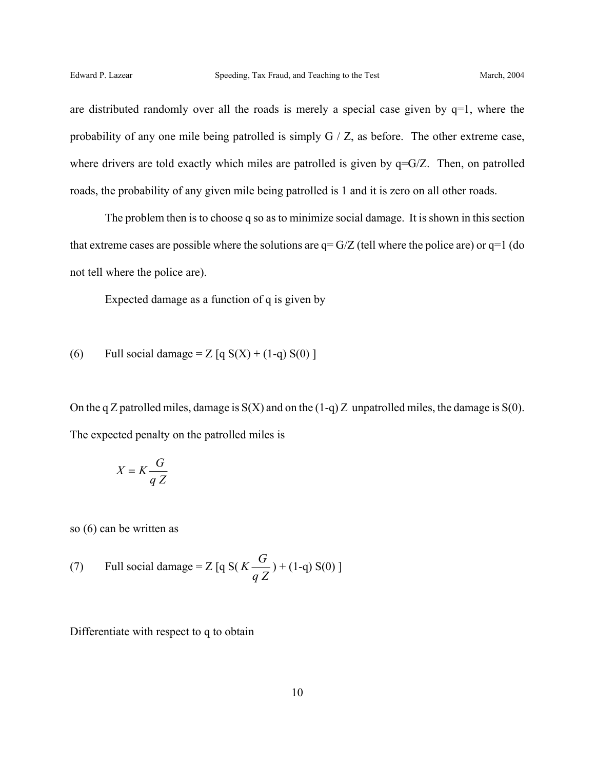are distributed randomly over all the roads is merely a special case given by  $q=1$ , where the probability of any one mile being patrolled is simply G / Z, as before. The other extreme case, where drivers are told exactly which miles are patrolled is given by  $q = G/Z$ . Then, on patrolled roads, the probability of any given mile being patrolled is 1 and it is zero on all other roads.

The problem then is to choose q so as to minimize social damage. It is shown in this section that extreme cases are possible where the solutions are  $q = G/Z$  (tell where the police are) or  $q=1$  (do not tell where the police are).

Expected damage as a function of q is given by

(6) Full social damage = 
$$
Z
$$
 [q  $S(X) + (1-q) S(0)$  ]

On the q Z patrolled miles, damage is  $S(X)$  and on the  $(1-q)Z$  unpatrolled miles, the damage is  $S(0)$ . The expected penalty on the patrolled miles is

$$
X = K \frac{G}{q Z}
$$

so (6) can be written as

(7) Full social damage = Z [q S(
$$
K\frac{G}{qZ}
$$
) + (1-q) S(0)]

Differentiate with respect to q to obtain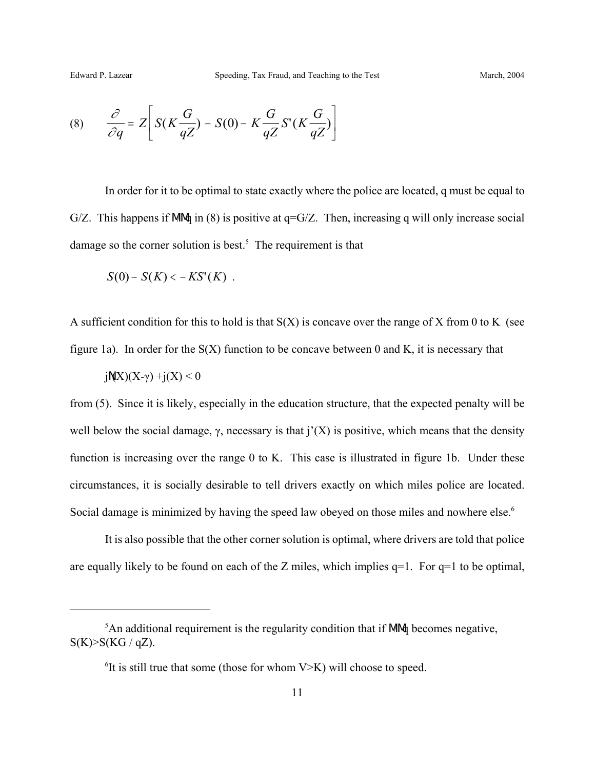(8) 
$$
\frac{\partial}{\partial q} = Z \left[ S(K \frac{G}{qZ}) - S(0) - K \frac{G}{qZ} S'(K \frac{G}{qZ}) \right]
$$

In order for it to be optimal to state exactly where the police are located, q must be equal to G/Z. This happens if MM in (8) is positive at  $q = G/Z$ . Then, increasing q will only increase social damage so the corner solution is best.<sup>5</sup> The requirement is that

$$
S(0)-S(K)<-KS'(K) .
$$

A sufficient condition for this to hold is that  $S(X)$  is concave over the range of X from 0 to K (see figure 1a). In order for the  $S(X)$  function to be concave between 0 and K, it is necessary that

$$
jM(X)(X\text{-}\gamma)+j(X)\leq 0
$$

from (5). Since it is likely, especially in the education structure, that the expected penalty will be well below the social damage,  $\gamma$ , necessary is that  $j'(X)$  is positive, which means that the density function is increasing over the range 0 to K. This case is illustrated in figure 1b. Under these circumstances, it is socially desirable to tell drivers exactly on which miles police are located. Social damage is minimized by having the speed law obeyed on those miles and nowhere else.<sup>6</sup>

It is also possible that the other corner solution is optimal, where drivers are told that police are equally likely to be found on each of the Z miles, which implies  $q=1$ . For  $q=1$  to be optimal,

 $<sup>5</sup>$ An additional requirement is the regularity condition that if MM $\phi$  becomes negative,</sup>  $S(K) > S(KG / qZ)$ .

 ${}^{6}$ It is still true that some (those for whom V $>$ K) will choose to speed.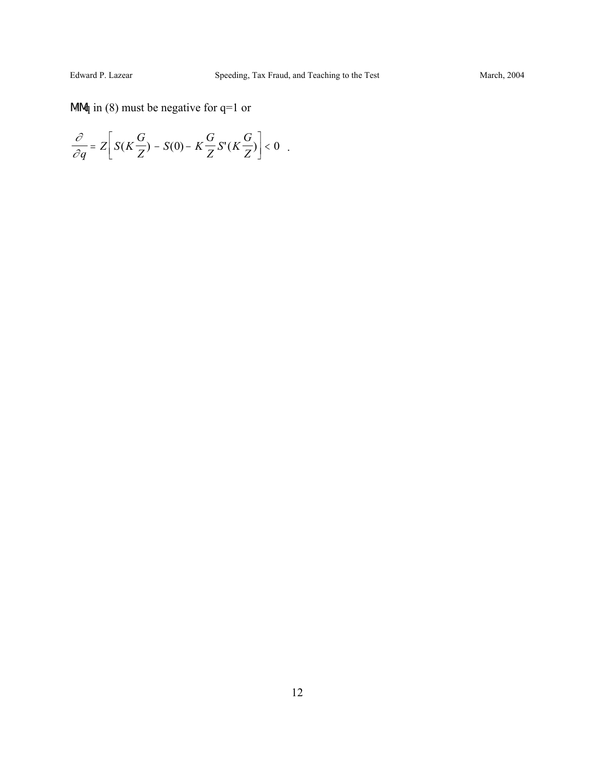# M $\mathcal{A}$  in (8) must be negative for q=1 or

$$
\frac{\partial}{\partial q} = Z \bigg[ S(K \frac{G}{Z}) - S(0) - K \frac{G}{Z} S'(K \frac{G}{Z}) \bigg] < 0.
$$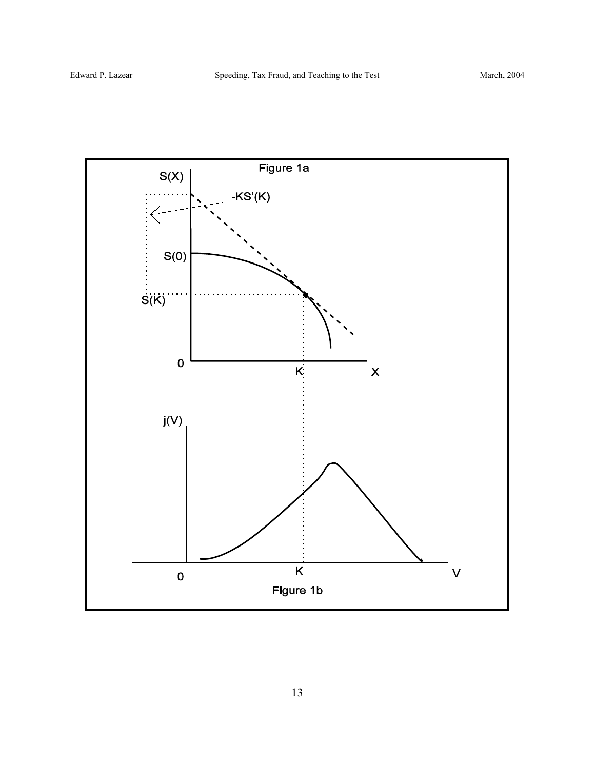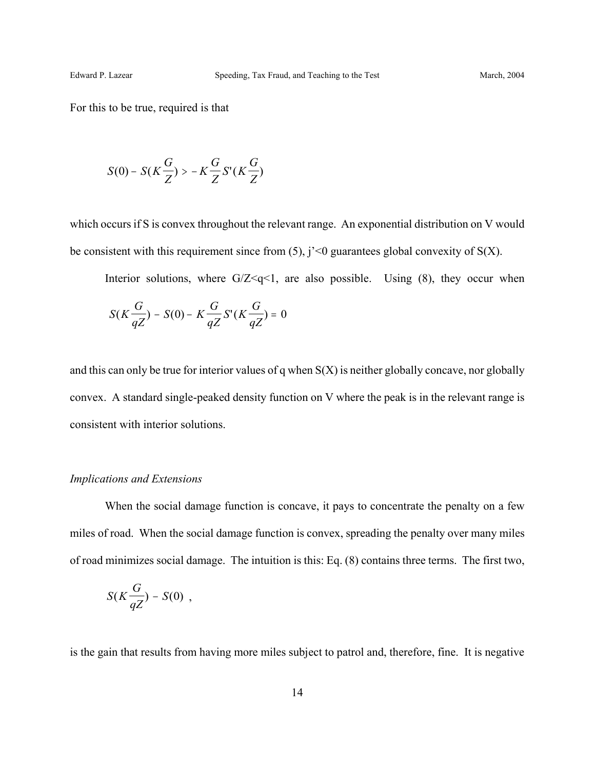For this to be true, required is that

$$
S(0) - S(K\frac{G}{Z}) > -K\frac{G}{Z}S'(K\frac{G}{Z})
$$

which occurs if S is convex throughout the relevant range. An exponential distribution on V would be consistent with this requirement since from  $(5)$ , j' <0 guarantees global convexity of  $S(X)$ .

Interior solutions, where  $G/Z \leq q \leq 1$ , are also possible. Using (8), they occur when

$$
S(K\frac{G}{qZ}) - S(0) - K\frac{G}{qZ}S'(K\frac{G}{qZ}) = 0
$$

and this can only be true for interior values of q when  $S(X)$  is neither globally concave, nor globally convex. A standard single-peaked density function on V where the peak is in the relevant range is consistent with interior solutions.

#### *Implications and Extensions*

When the social damage function is concave, it pays to concentrate the penalty on a few miles of road. When the social damage function is convex, spreading the penalty over many miles of road minimizes social damage. The intuition is this: Eq. (8) contains three terms. The first two,

$$
S(K\frac{G}{qZ})-S(0) ,
$$

is the gain that results from having more miles subject to patrol and, therefore, fine. It is negative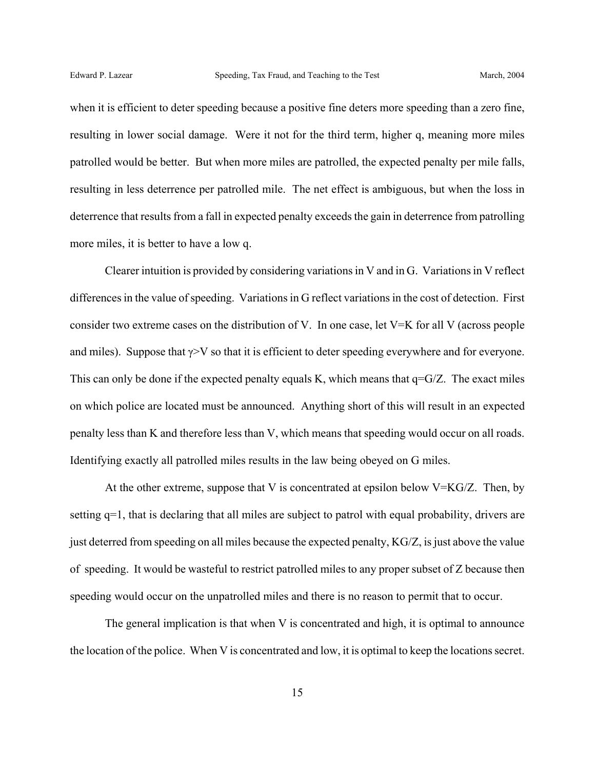when it is efficient to deter speeding because a positive fine deters more speeding than a zero fine, resulting in lower social damage. Were it not for the third term, higher q, meaning more miles patrolled would be better. But when more miles are patrolled, the expected penalty per mile falls, resulting in less deterrence per patrolled mile. The net effect is ambiguous, but when the loss in deterrence that results from a fall in expected penalty exceeds the gain in deterrence from patrolling more miles, it is better to have a low q.

Clearer intuition is provided by considering variations in V and in G. Variations in V reflect differences in the value of speeding. Variations in G reflect variations in the cost of detection. First consider two extreme cases on the distribution of V. In one case, let V=K for all V (across people and miles). Suppose that  $\gamma$ >V so that it is efficient to deter speeding everywhere and for everyone. This can only be done if the expected penalty equals K, which means that  $q = G/Z$ . The exact miles on which police are located must be announced. Anything short of this will result in an expected penalty less than K and therefore less than V, which means that speeding would occur on all roads. Identifying exactly all patrolled miles results in the law being obeyed on G miles.

At the other extreme, suppose that V is concentrated at epsilon below  $V=KG/Z$ . Then, by setting q=1, that is declaring that all miles are subject to patrol with equal probability, drivers are just deterred from speeding on all miles because the expected penalty, KG/Z, is just above the value of speeding. It would be wasteful to restrict patrolled miles to any proper subset of Z because then speeding would occur on the unpatrolled miles and there is no reason to permit that to occur.

The general implication is that when V is concentrated and high, it is optimal to announce the location of the police. When V is concentrated and low, it is optimal to keep the locations secret.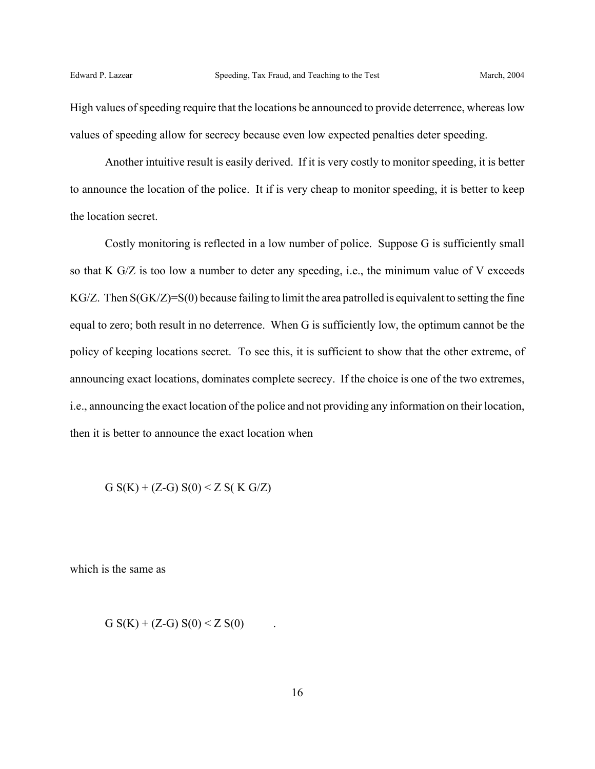High values of speeding require that the locations be announced to provide deterrence, whereas low values of speeding allow for secrecy because even low expected penalties deter speeding.

Another intuitive result is easily derived. If it is very costly to monitor speeding, it is better to announce the location of the police. It if is very cheap to monitor speeding, it is better to keep the location secret.

Costly monitoring is reflected in a low number of police. Suppose G is sufficiently small so that K G/Z is too low a number to deter any speeding, i.e., the minimum value of V exceeds KG/Z. Then S(GK/Z)=S(0) because failing to limit the area patrolled is equivalent to setting the fine equal to zero; both result in no deterrence. When G is sufficiently low, the optimum cannot be the policy of keeping locations secret. To see this, it is sufficient to show that the other extreme, of announcing exact locations, dominates complete secrecy. If the choice is one of the two extremes, i.e., announcing the exact location of the police and not providing any information on their location, then it is better to announce the exact location when

G  $S(K) + (Z-G) S(0) < Z S(K G/Z)$ 

which is the same as

G  $S(K) + (Z-G) S(0) < Z S(0)$ .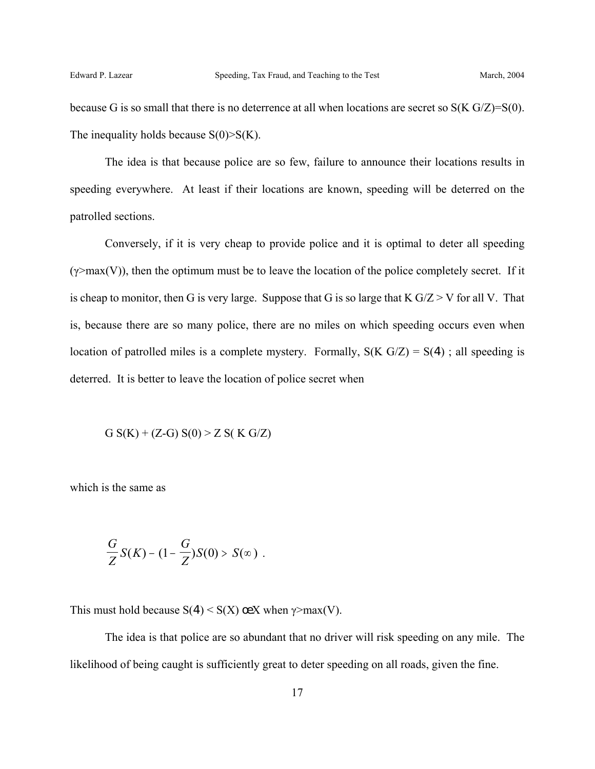because G is so small that there is no deterrence at all when locations are secret so  $S(K G/Z)=S(0)$ . The inequality holds because  $S(0) > S(K)$ .

The idea is that because police are so few, failure to announce their locations results in speeding everywhere. At least if their locations are known, speeding will be deterred on the patrolled sections.

Conversely, if it is very cheap to provide police and it is optimal to deter all speeding  $(\gamma > max(V))$ , then the optimum must be to leave the location of the police completely secret. If it is cheap to monitor, then G is very large. Suppose that G is so large that  $K G/Z > V$  for all V. That is, because there are so many police, there are no miles on which speeding occurs even when location of patrolled miles is a complete mystery. Formally,  $S(K G/Z) = S(4)$ ; all speeding is deterred. It is better to leave the location of police secret when

G  $S(K) + (Z-G) S(0) > Z S(K G/Z)$ 

which is the same as

$$
\frac{G}{Z}S(K)-(1-\frac{G}{Z})S(0) > S(\infty).
$$

This must hold because  $S(4) \leq S(X)$  œX when  $\gamma$ >max(V).

The idea is that police are so abundant that no driver will risk speeding on any mile. The likelihood of being caught is sufficiently great to deter speeding on all roads, given the fine.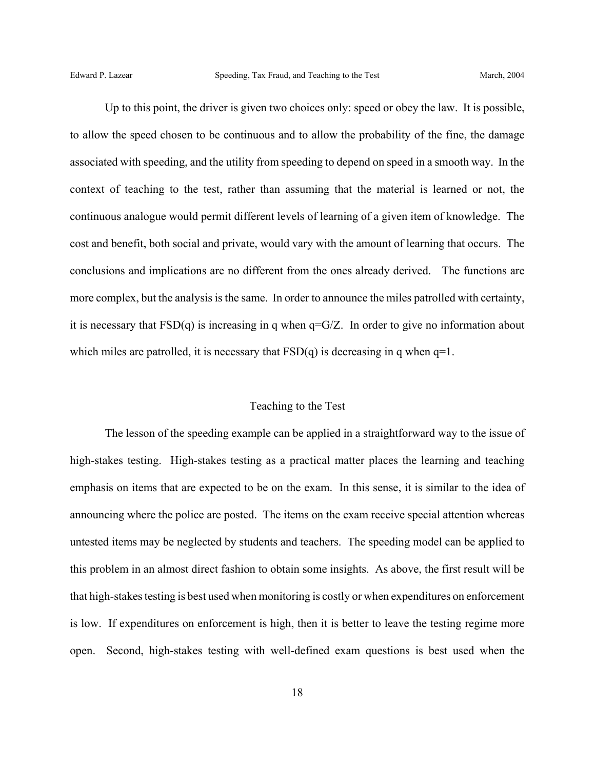Up to this point, the driver is given two choices only: speed or obey the law. It is possible, to allow the speed chosen to be continuous and to allow the probability of the fine, the damage associated with speeding, and the utility from speeding to depend on speed in a smooth way. In the context of teaching to the test, rather than assuming that the material is learned or not, the continuous analogue would permit different levels of learning of a given item of knowledge. The cost and benefit, both social and private, would vary with the amount of learning that occurs. The conclusions and implications are no different from the ones already derived. The functions are more complex, but the analysis is the same. In order to announce the miles patrolled with certainty, it is necessary that  $FSD(q)$  is increasing in q when  $q=$  G/Z. In order to give no information about which miles are patrolled, it is necessary that  $FSD(q)$  is decreasing in q when  $q=1$ .

## Teaching to the Test

The lesson of the speeding example can be applied in a straightforward way to the issue of high-stakes testing. High-stakes testing as a practical matter places the learning and teaching emphasis on items that are expected to be on the exam. In this sense, it is similar to the idea of announcing where the police are posted. The items on the exam receive special attention whereas untested items may be neglected by students and teachers. The speeding model can be applied to this problem in an almost direct fashion to obtain some insights. As above, the first result will be that high-stakes testing is best used when monitoring is costly or when expenditures on enforcement is low. If expenditures on enforcement is high, then it is better to leave the testing regime more open. Second, high-stakes testing with well-defined exam questions is best used when the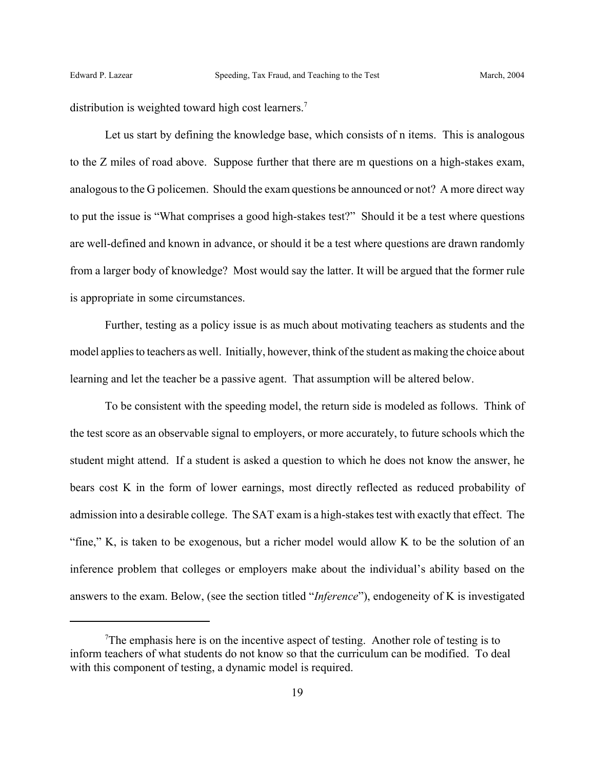distribution is weighted toward high cost learners.<sup>7</sup>

Let us start by defining the knowledge base, which consists of n items. This is analogous to the Z miles of road above. Suppose further that there are m questions on a high-stakes exam, analogous to the G policemen. Should the exam questions be announced or not? A more direct way to put the issue is "What comprises a good high-stakes test?" Should it be a test where questions are well-defined and known in advance, or should it be a test where questions are drawn randomly from a larger body of knowledge? Most would say the latter. It will be argued that the former rule is appropriate in some circumstances.

Further, testing as a policy issue is as much about motivating teachers as students and the model applies to teachers as well. Initially, however, think of the student as making the choice about learning and let the teacher be a passive agent. That assumption will be altered below.

To be consistent with the speeding model, the return side is modeled as follows. Think of the test score as an observable signal to employers, or more accurately, to future schools which the student might attend. If a student is asked a question to which he does not know the answer, he bears cost K in the form of lower earnings, most directly reflected as reduced probability of admission into a desirable college. The SAT exam is a high-stakes test with exactly that effect. The "fine," K, is taken to be exogenous, but a richer model would allow K to be the solution of an inference problem that colleges or employers make about the individual's ability based on the answers to the exam. Below, (see the section titled "*Inference*"), endogeneity of K is investigated

 $T$ The emphasis here is on the incentive aspect of testing. Another role of testing is to inform teachers of what students do not know so that the curriculum can be modified. To deal with this component of testing, a dynamic model is required.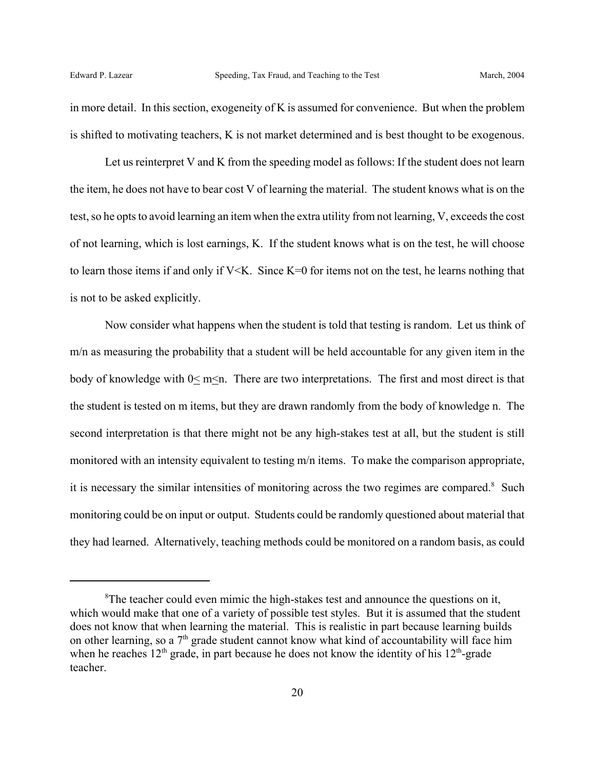in more detail. In this section, exogeneity of K is assumed for convenience. But when the problem is shifted to motivating teachers, K is not market determined and is best thought to be exogenous.

Let us reinterpret V and K from the speeding model as follows: If the student does not learn the item, he does not have to bear cost V of learning the material. The student knows what is on the test, so he opts to avoid learning an item when the extra utility from not learning, V, exceeds the cost of not learning, which is lost earnings, K. If the student knows what is on the test, he will choose to learn those items if and only if V<K. Since K=0 for items not on the test, he learns nothing that is not to be asked explicitly.

Now consider what happens when the student is told that testing is random. Let us think of m/n as measuring the probability that a student will be held accountable for any given item in the body of knowledge with  $0 \le m \le n$ . There are two interpretations. The first and most direct is that the student is tested on m items, but they are drawn randomly from the body of knowledge n. The second interpretation is that there might not be any high-stakes test at all, but the student is still monitored with an intensity equivalent to testing m/n items. To make the comparison appropriate, it is necessary the similar intensities of monitoring across the two regimes are compared.<sup>8</sup> Such monitoring could be on input or output. Students could be randomly questioned about material that they had learned. Alternatively, teaching methods could be monitored on a random basis, as could

<sup>&</sup>lt;sup>8</sup>The teacher could even mimic the high-stakes test and announce the questions on it, which would make that one of a variety of possible test styles. But it is assumed that the student does not know that when learning the material. This is realistic in part because learning builds on other learning, so a  $7<sup>th</sup>$  grade student cannot know what kind of accountability will face him when he reaches  $12<sup>th</sup>$  grade, in part because he does not know the identity of his  $12<sup>th</sup>$ -grade teacher.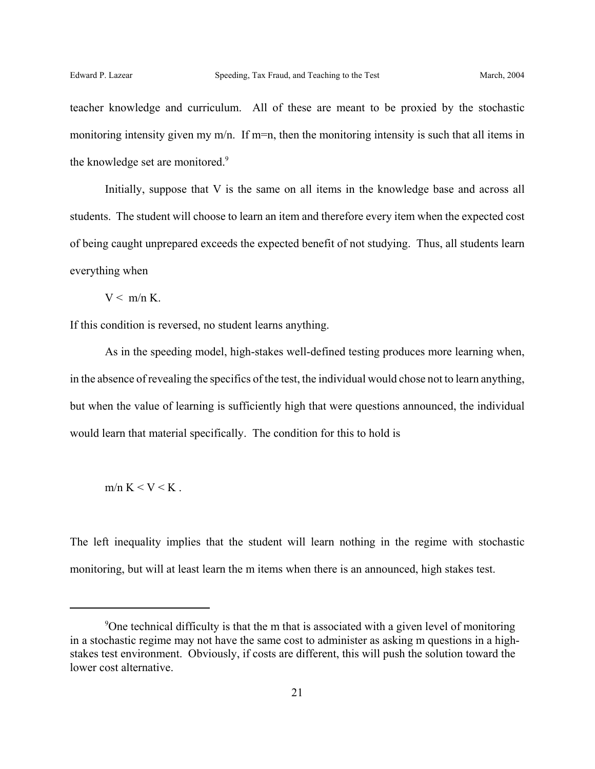teacher knowledge and curriculum. All of these are meant to be proxied by the stochastic monitoring intensity given my m/n. If m=n, then the monitoring intensity is such that all items in the knowledge set are monitored.<sup>9</sup>

Initially, suppose that V is the same on all items in the knowledge base and across all students. The student will choose to learn an item and therefore every item when the expected cost of being caught unprepared exceeds the expected benefit of not studying. Thus, all students learn everything when

 $V < m/n K$ 

If this condition is reversed, no student learns anything.

As in the speeding model, high-stakes well-defined testing produces more learning when, in the absence of revealing the specifics of the test, the individual would chose not to learn anything, but when the value of learning is sufficiently high that were questions announced, the individual would learn that material specifically. The condition for this to hold is

m/n K  $\lt V \lt K$ 

The left inequality implies that the student will learn nothing in the regime with stochastic monitoring, but will at least learn the m items when there is an announced, high stakes test.

<sup>&</sup>lt;sup>9</sup>One technical difficulty is that the m that is associated with a given level of monitoring in a stochastic regime may not have the same cost to administer as asking m questions in a highstakes test environment. Obviously, if costs are different, this will push the solution toward the lower cost alternative.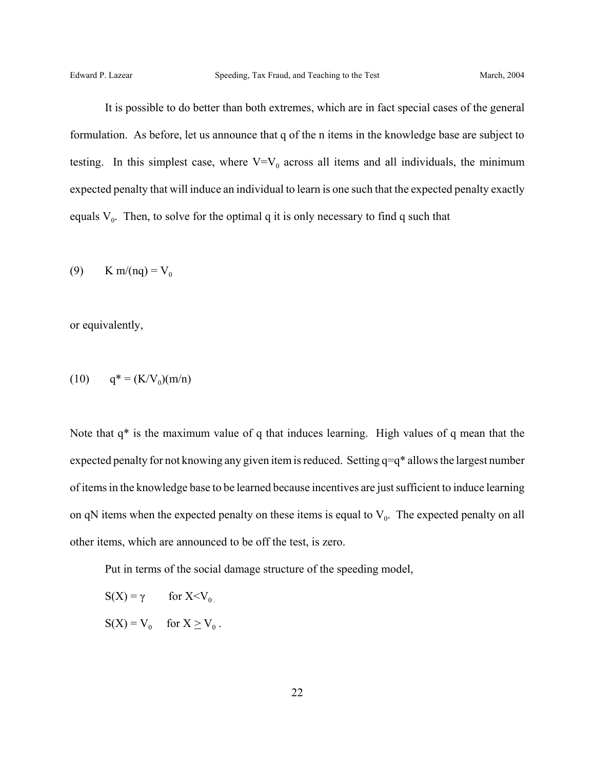It is possible to do better than both extremes, which are in fact special cases of the general formulation. As before, let us announce that q of the n items in the knowledge base are subject to testing. In this simplest case, where  $V=V_0$  across all items and all individuals, the minimum expected penalty that will induce an individual to learn is one such that the expected penalty exactly equals  $V_0$ . Then, to solve for the optimal q it is only necessary to find q such that

(9) K m/(nq) =  $V_0$ 

or equivalently,

$$
(10) \qquad q^* = (K/V_0)(m/n)
$$

Note that q\* is the maximum value of q that induces learning. High values of q mean that the expected penalty for not knowing any given item is reduced. Setting q=q\* allows the largest number of items in the knowledge base to be learned because incentives are just sufficient to induce learning on qN items when the expected penalty on these items is equal to  $V_0$ . The expected penalty on all other items, which are announced to be off the test, is zero.

Put in terms of the social damage structure of the speeding model,

- $S(X) = \gamma$  for  $X \le V_0$ .
- $S(X) = V_0$  for  $X \geq V_0$ .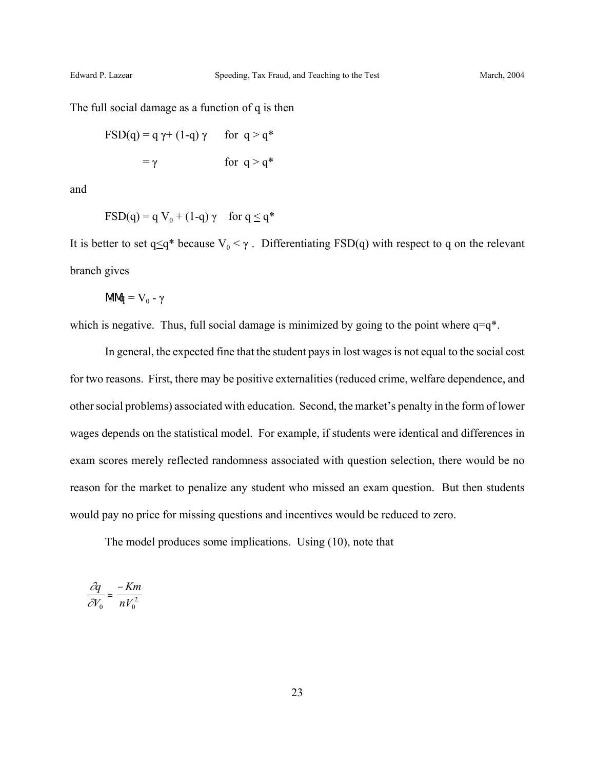The full social damage as a function of q is then

$$
FSD(q) = q \gamma + (1-q) \gamma \quad \text{for } q > q^*
$$

$$
= \gamma \quad \text{for } q > q^*
$$

and

$$
FSD(q) = q V_0 + (1-q) \gamma \quad \text{for } q \le q^*
$$

It is better to set q $\leq q^*$  because  $V_0 < \gamma$ . Differentiating FSD(q) with respect to q on the relevant branch gives

$$
M\!M\! = V_0 - \gamma
$$

which is negative. Thus, full social damage is minimized by going to the point where  $q=q^*$ .

In general, the expected fine that the student pays in lost wages is not equal to the social cost for two reasons. First, there may be positive externalities (reduced crime, welfare dependence, and other social problems) associated with education. Second, the market's penalty in the form of lower wages depends on the statistical model. For example, if students were identical and differences in exam scores merely reflected randomness associated with question selection, there would be no reason for the market to penalize any student who missed an exam question. But then students would pay no price for missing questions and incentives would be reduced to zero.

The model produces some implications. Using (10), note that

$$
\frac{\partial q}{\partial V_0} = \frac{-Km}{nV_0^2}
$$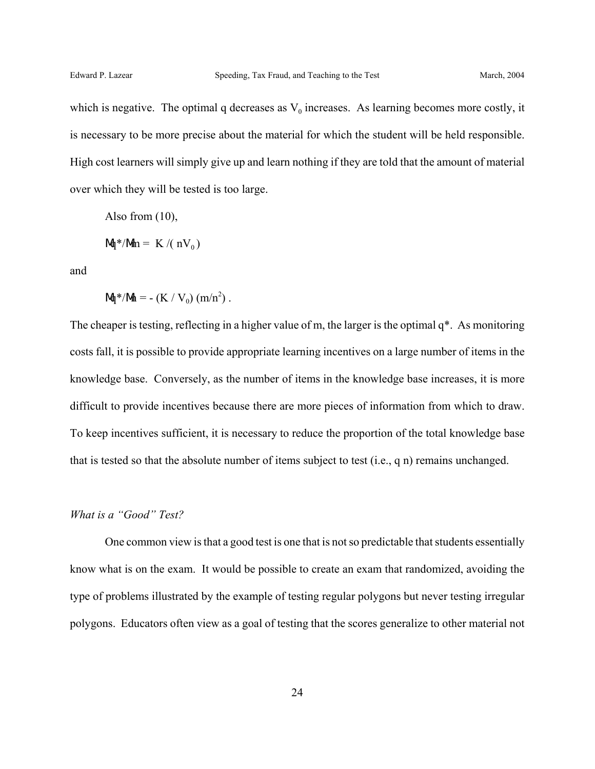which is negative. The optimal q decreases as  $V_0$  increases. As learning becomes more costly, it is necessary to be more precise about the material for which the student will be held responsible. High cost learners will simply give up and learn nothing if they are told that the amount of material over which they will be tested is too large.

Also from (10),

$$
M^*/Mn = K/(nV_0)
$$

and

$$
M^*/M = -(K / V_0) (m/n^2)
$$
.

The cheaper is testing, reflecting in a higher value of m, the larger is the optimal q\*. As monitoring costs fall, it is possible to provide appropriate learning incentives on a large number of items in the knowledge base. Conversely, as the number of items in the knowledge base increases, it is more difficult to provide incentives because there are more pieces of information from which to draw. To keep incentives sufficient, it is necessary to reduce the proportion of the total knowledge base that is tested so that the absolute number of items subject to test (i.e., q n) remains unchanged.

#### *What is a "Good" Test?*

One common view is that a good test is one that is not so predictable that students essentially know what is on the exam. It would be possible to create an exam that randomized, avoiding the type of problems illustrated by the example of testing regular polygons but never testing irregular polygons. Educators often view as a goal of testing that the scores generalize to other material not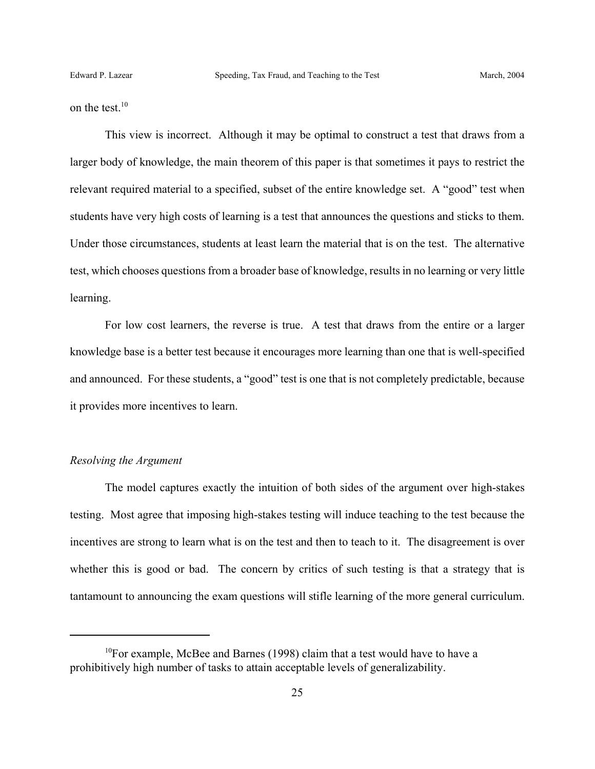on the test.<sup>10</sup>

This view is incorrect. Although it may be optimal to construct a test that draws from a larger body of knowledge, the main theorem of this paper is that sometimes it pays to restrict the relevant required material to a specified, subset of the entire knowledge set. A "good" test when students have very high costs of learning is a test that announces the questions and sticks to them. Under those circumstances, students at least learn the material that is on the test. The alternative test, which chooses questions from a broader base of knowledge, results in no learning or very little learning.

For low cost learners, the reverse is true. A test that draws from the entire or a larger knowledge base is a better test because it encourages more learning than one that is well-specified and announced. For these students, a "good" test is one that is not completely predictable, because it provides more incentives to learn.

## *Resolving the Argument*

The model captures exactly the intuition of both sides of the argument over high-stakes testing. Most agree that imposing high-stakes testing will induce teaching to the test because the incentives are strong to learn what is on the test and then to teach to it. The disagreement is over whether this is good or bad. The concern by critics of such testing is that a strategy that is tantamount to announcing the exam questions will stifle learning of the more general curriculum.

 $10$ For example, McBee and Barnes (1998) claim that a test would have to have a prohibitively high number of tasks to attain acceptable levels of generalizability.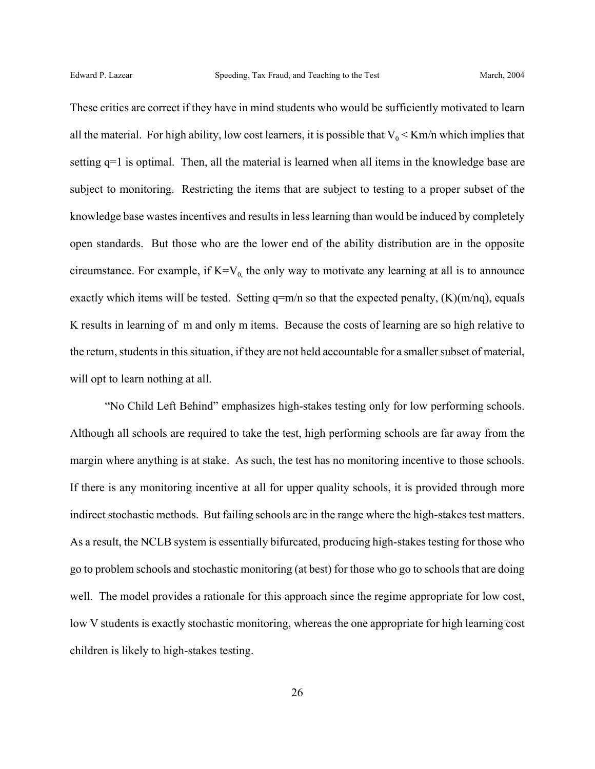These critics are correct if they have in mind students who would be sufficiently motivated to learn all the material. For high ability, low cost learners, it is possible that  $V_0 < K/m/n$  which implies that setting q=1 is optimal. Then, all the material is learned when all items in the knowledge base are subject to monitoring. Restricting the items that are subject to testing to a proper subset of the knowledge base wastes incentives and results in less learning than would be induced by completely open standards. But those who are the lower end of the ability distribution are in the opposite circumstance. For example, if  $K=V_0$  the only way to motivate any learning at all is to announce exactly which items will be tested. Setting  $q=m/n$  so that the expected penalty,  $(K)(m/nq)$ , equals K results in learning of m and only m items. Because the costs of learning are so high relative to the return, students in this situation, if they are not held accountable for a smaller subset of material, will opt to learn nothing at all.

"No Child Left Behind" emphasizes high-stakes testing only for low performing schools. Although all schools are required to take the test, high performing schools are far away from the margin where anything is at stake. As such, the test has no monitoring incentive to those schools. If there is any monitoring incentive at all for upper quality schools, it is provided through more indirect stochastic methods. But failing schools are in the range where the high-stakes test matters. As a result, the NCLB system is essentially bifurcated, producing high-stakes testing for those who go to problem schools and stochastic monitoring (at best) for those who go to schools that are doing well. The model provides a rationale for this approach since the regime appropriate for low cost, low V students is exactly stochastic monitoring, whereas the one appropriate for high learning cost children is likely to high-stakes testing.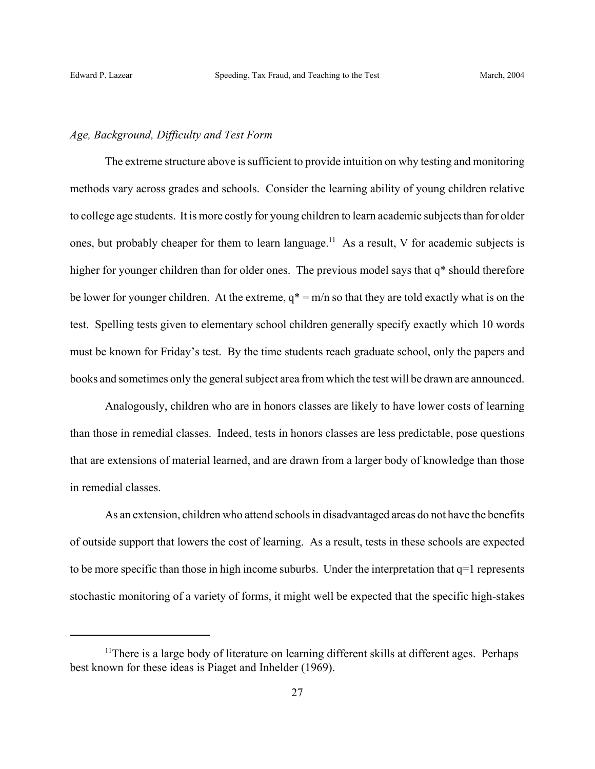## *Age, Background, Difficulty and Test Form*

The extreme structure above is sufficient to provide intuition on why testing and monitoring methods vary across grades and schools. Consider the learning ability of young children relative to college age students. It is more costly for young children to learn academic subjects than for older ones, but probably cheaper for them to learn language.<sup>11</sup> As a result, V for academic subjects is higher for younger children than for older ones. The previous model says that  $q^*$  should therefore be lower for younger children. At the extreme,  $q^* = m/n$  so that they are told exactly what is on the test. Spelling tests given to elementary school children generally specify exactly which 10 words must be known for Friday's test. By the time students reach graduate school, only the papers and books and sometimes only the general subject area from which the test will be drawn are announced.

Analogously, children who are in honors classes are likely to have lower costs of learning than those in remedial classes. Indeed, tests in honors classes are less predictable, pose questions that are extensions of material learned, and are drawn from a larger body of knowledge than those in remedial classes.

As an extension, children who attend schools in disadvantaged areas do not have the benefits of outside support that lowers the cost of learning. As a result, tests in these schools are expected to be more specific than those in high income suburbs. Under the interpretation that q=1 represents stochastic monitoring of a variety of forms, it might well be expected that the specific high-stakes

<sup>&</sup>lt;sup>11</sup>There is a large body of literature on learning different skills at different ages. Perhaps best known for these ideas is Piaget and Inhelder (1969).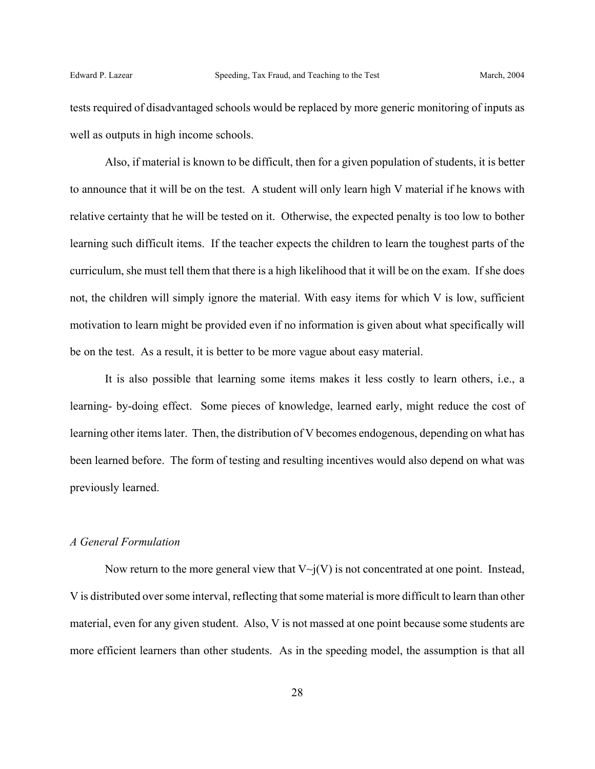tests required of disadvantaged schools would be replaced by more generic monitoring of inputs as well as outputs in high income schools.

Also, if material is known to be difficult, then for a given population of students, it is better to announce that it will be on the test. A student will only learn high V material if he knows with relative certainty that he will be tested on it. Otherwise, the expected penalty is too low to bother learning such difficult items. If the teacher expects the children to learn the toughest parts of the curriculum, she must tell them that there is a high likelihood that it will be on the exam. If she does not, the children will simply ignore the material. With easy items for which V is low, sufficient motivation to learn might be provided even if no information is given about what specifically will be on the test. As a result, it is better to be more vague about easy material.

It is also possible that learning some items makes it less costly to learn others, i.e., a learning- by-doing effect. Some pieces of knowledge, learned early, might reduce the cost of learning other items later. Then, the distribution of V becomes endogenous, depending on what has been learned before. The form of testing and resulting incentives would also depend on what was previously learned.

## *A General Formulation*

Now return to the more general view that  $V\sim i(V)$  is not concentrated at one point. Instead, V is distributed over some interval, reflecting that some material is more difficult to learn than other material, even for any given student. Also, V is not massed at one point because some students are more efficient learners than other students. As in the speeding model, the assumption is that all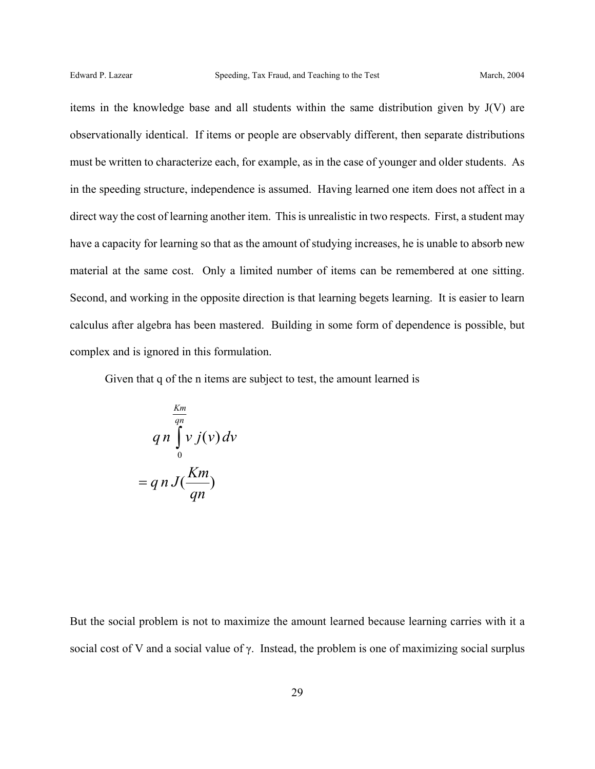items in the knowledge base and all students within the same distribution given by J(V) are observationally identical. If items or people are observably different, then separate distributions must be written to characterize each, for example, as in the case of younger and older students. As in the speeding structure, independence is assumed. Having learned one item does not affect in a direct way the cost of learning another item. This is unrealistic in two respects. First, a student may have a capacity for learning so that as the amount of studying increases, he is unable to absorb new material at the same cost. Only a limited number of items can be remembered at one sitting. Second, and working in the opposite direction is that learning begets learning. It is easier to learn calculus after algebra has been mastered. Building in some form of dependence is possible, but complex and is ignored in this formulation.

Given that q of the n items are subject to test, the amount learned is

$$
qn \int_{0}^{\frac{Km}{qn}} v j(v) dv
$$

$$
= q n J(\frac{Km}{qn})
$$

But the social problem is not to maximize the amount learned because learning carries with it a social cost of V and a social value of γ. Instead, the problem is one of maximizing social surplus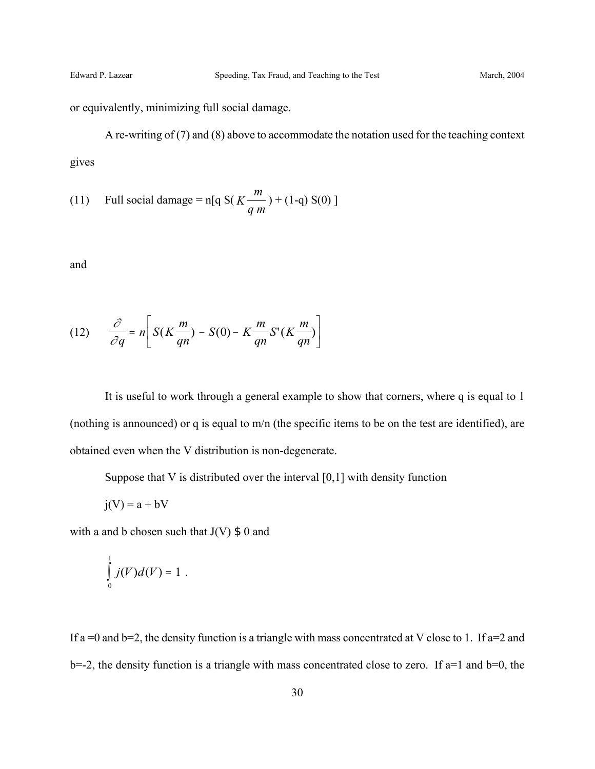or equivalently, minimizing full social damage.

A re-writing of (7) and (8) above to accommodate the notation used for the teaching context gives

(11) Full social damage = n[q S(
$$
K \frac{m}{q m}
$$
) + (1-q) S(0)]

and

(12) 
$$
\frac{\partial}{\partial q} = n \left[ S(K \frac{m}{qn}) - S(0) - K \frac{m}{qn} S'(K \frac{m}{qn}) \right]
$$

It is useful to work through a general example to show that corners, where q is equal to 1 (nothing is announced) or q is equal to m/n (the specific items to be on the test are identified), are obtained even when the V distribution is non-degenerate.

Suppose that V is distributed over the interval [0,1] with density function

$$
j(V) = a + bV
$$

with a and b chosen such that  $J(V)$  \$ 0 and

$$
\int\limits_0^1 j(V)d(V)=1.
$$

If a =0 and b=2, the density function is a triangle with mass concentrated at V close to 1. If a=2 and  $b=-2$ , the density function is a triangle with mass concentrated close to zero. If  $a=1$  and  $b=0$ , the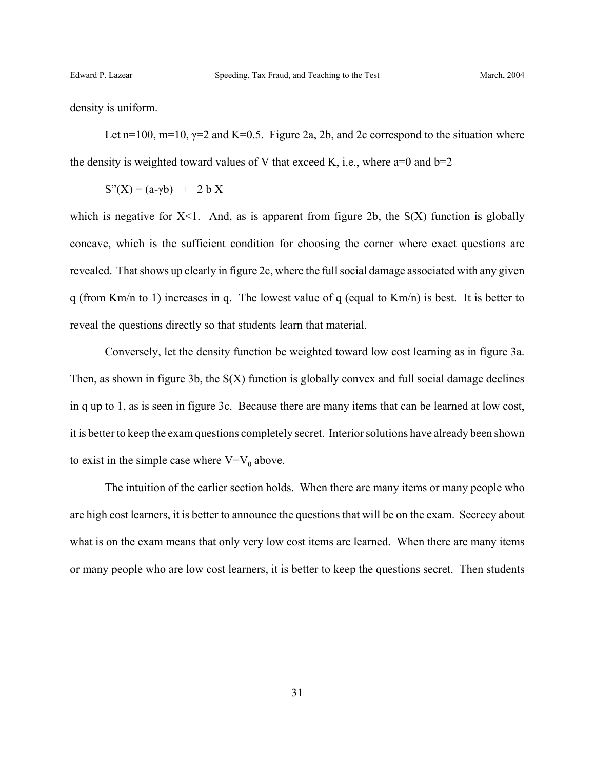density is uniform.

Let n=100, m=10,  $\gamma$ =2 and K=0.5. Figure 2a, 2b, and 2c correspond to the situation where the density is weighted toward values of V that exceed K, i.e., where  $a=0$  and  $b=2$ 

 $S''(X) = (a-γb) + 2bX$ 

which is negative for  $X<1$ . And, as is apparent from figure 2b, the  $S(X)$  function is globally concave, which is the sufficient condition for choosing the corner where exact questions are revealed. That shows up clearly in figure 2c, where the full social damage associated with any given q (from Km/n to 1) increases in q. The lowest value of q (equal to Km/n) is best. It is better to reveal the questions directly so that students learn that material.

Conversely, let the density function be weighted toward low cost learning as in figure 3a. Then, as shown in figure 3b, the S(X) function is globally convex and full social damage declines in q up to 1, as is seen in figure 3c. Because there are many items that can be learned at low cost, it is better to keep the exam questions completely secret. Interior solutions have already been shown to exist in the simple case where  $V=V_0$  above.

The intuition of the earlier section holds. When there are many items or many people who are high cost learners, it is better to announce the questions that will be on the exam. Secrecy about what is on the exam means that only very low cost items are learned. When there are many items or many people who are low cost learners, it is better to keep the questions secret. Then students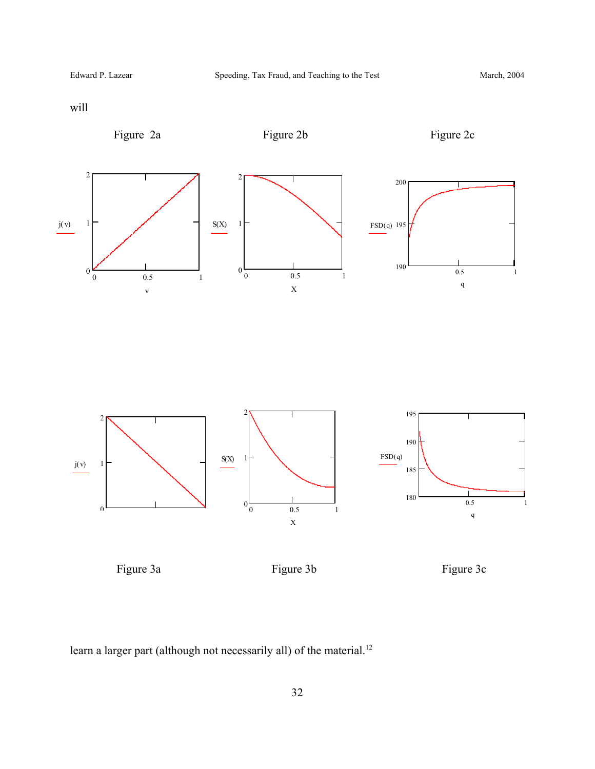will



learn a larger part (although not necessarily all) of the material.<sup>12</sup>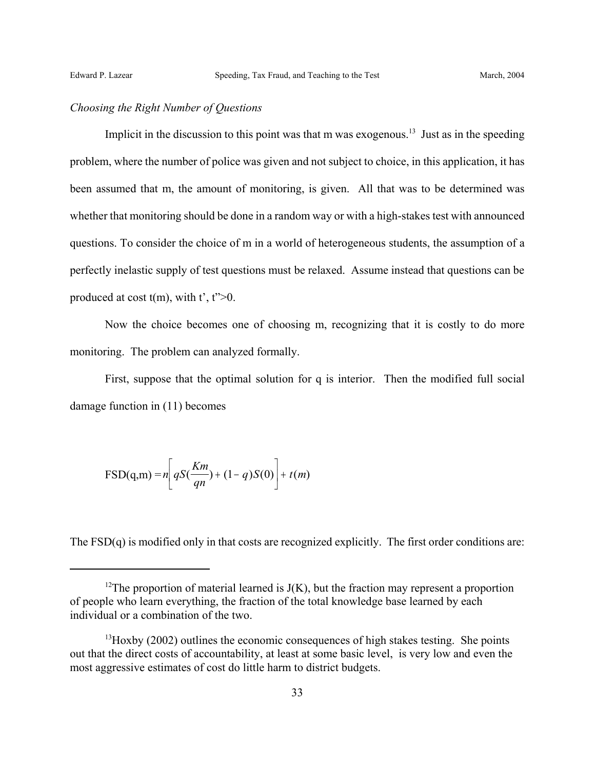## *Choosing the Right Number of Questions*

Implicit in the discussion to this point was that m was exogenous.<sup>13</sup> Just as in the speeding problem, where the number of police was given and not subject to choice, in this application, it has been assumed that m, the amount of monitoring, is given. All that was to be determined was whether that monitoring should be done in a random way or with a high-stakes test with announced questions. To consider the choice of m in a world of heterogeneous students, the assumption of a perfectly inelastic supply of test questions must be relaxed. Assume instead that questions can be produced at cost  $t(m)$ , with  $t^2$ ,  $t^2>0$ .

Now the choice becomes one of choosing m, recognizing that it is costly to do more monitoring. The problem can analyzed formally.

First, suppose that the optimal solution for q is interior. Then the modified full social damage function in (11) becomes

$$
\text{FSD}(q,m) = n \left[ qS(\frac{Km}{qn}) + (1-q)S(0) \right] + t(m)
$$

The FSD(q) is modified only in that costs are recognized explicitly. The first order conditions are:

<sup>&</sup>lt;sup>12</sup>The proportion of material learned is  $J(K)$ , but the fraction may represent a proportion of people who learn everything, the fraction of the total knowledge base learned by each individual or a combination of the two.

 $^{13}$ Hoxby (2002) outlines the economic consequences of high stakes testing. She points out that the direct costs of accountability, at least at some basic level, is very low and even the most aggressive estimates of cost do little harm to district budgets.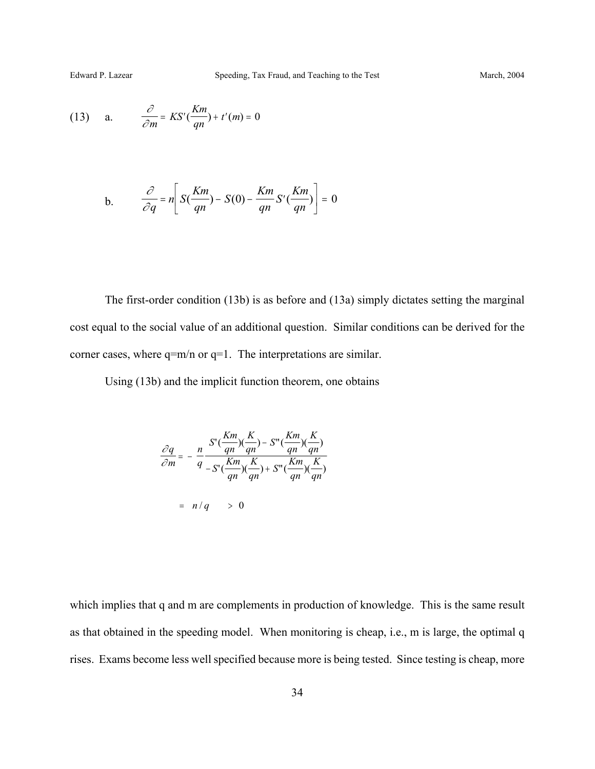(13) a. 
$$
\frac{\partial}{\partial m} = KS'(\frac{Km}{qn}) + t'(m) = 0
$$

b. 
$$
\frac{\partial}{\partial q} = n \left[ S(\frac{Km}{qn}) - S(0) - \frac{Km}{qn} S'(\frac{Km}{qn}) \right] = 0
$$

The first-order condition (13b) is as before and (13a) simply dictates setting the marginal cost equal to the social value of an additional question. Similar conditions can be derived for the corner cases, where q=m/n or q=1. The interpretations are similar.

Using (13b) and the implicit function theorem, one obtains

$$
\frac{\partial q}{\partial m} = -\frac{n}{q} \frac{S'(\frac{Km}{qn})(\frac{K}{qn}) - S''(\frac{Km}{qn})(\frac{K}{qn})}{S'(\frac{Km}{qn})(\frac{K}{qn}) + S''(\frac{Km}{qn})(\frac{K}{qn})}
$$

$$
= n/q \qquad > 0
$$

which implies that q and m are complements in production of knowledge. This is the same result as that obtained in the speeding model. When monitoring is cheap, i.e., m is large, the optimal q rises. Exams become less well specified because more is being tested. Since testing is cheap, more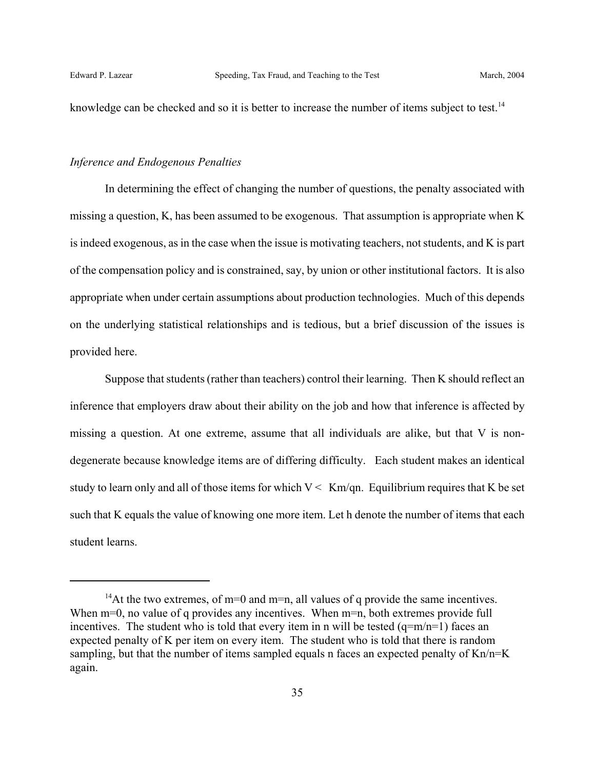knowledge can be checked and so it is better to increase the number of items subject to test.<sup>14</sup>

#### *Inference and Endogenous Penalties*

In determining the effect of changing the number of questions, the penalty associated with missing a question, K, has been assumed to be exogenous. That assumption is appropriate when K is indeed exogenous, as in the case when the issue is motivating teachers, not students, and K is part of the compensation policy and is constrained, say, by union or other institutional factors. It is also appropriate when under certain assumptions about production technologies. Much of this depends on the underlying statistical relationships and is tedious, but a brief discussion of the issues is provided here.

Suppose that students (rather than teachers) control their learning. Then K should reflect an inference that employers draw about their ability on the job and how that inference is affected by missing a question. At one extreme, assume that all individuals are alike, but that V is nondegenerate because knowledge items are of differing difficulty. Each student makes an identical study to learn only and all of those items for which  $V < Km/qn$ . Equilibrium requires that K be set such that K equals the value of knowing one more item. Let h denote the number of items that each student learns.

<sup>&</sup>lt;sup>14</sup>At the two extremes, of m=0 and m=n, all values of q provide the same incentives. When m=0, no value of q provides any incentives. When m=n, both extremes provide full incentives. The student who is told that every item in n will be tested  $(q=m/n=1)$  faces an expected penalty of K per item on every item. The student who is told that there is random sampling, but that the number of items sampled equals n faces an expected penalty of Kn/n=K again.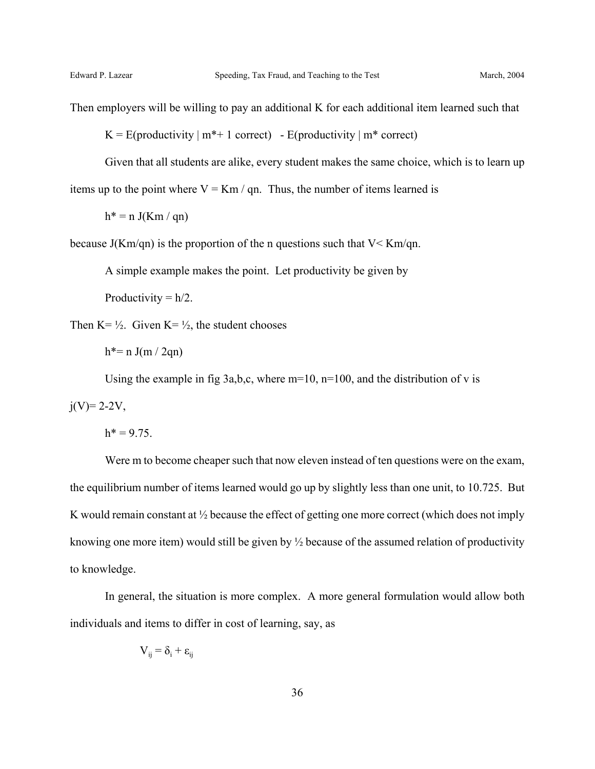Then employers will be willing to pay an additional K for each additional item learned such that

 $K = E($ productivity  $|m^* + 1$  correct) - E(productivity  $|m^*$  correct)

Given that all students are alike, every student makes the same choice, which is to learn up items up to the point where  $V = Km / qn$ . Thus, the number of items learned is

 $h^* = n J(Km / qn)$ 

because  $J(Km/qn)$  is the proportion of the n questions such that  $V \leq Km/qn$ .

A simple example makes the point. Let productivity be given by

Productivity  $= h/2$ .

Then  $K = \frac{1}{2}$ . Given  $K = \frac{1}{2}$ , the student chooses

 $h^*$  = n J(m / 2qn)

Using the example in fig 3a,b,c, where  $m=10$ ,  $n=100$ , and the distribution of v is

 $j(V)=2-2V$ ,

 $h^* = 9.75$ .

Were m to become cheaper such that now eleven instead of ten questions were on the exam, the equilibrium number of items learned would go up by slightly less than one unit, to 10.725. But K would remain constant at ½ because the effect of getting one more correct (which does not imply knowing one more item) would still be given by ½ because of the assumed relation of productivity to knowledge.

In general, the situation is more complex. A more general formulation would allow both individuals and items to differ in cost of learning, say, as

$$
V_{ij} = \delta_i + \epsilon_{ij}
$$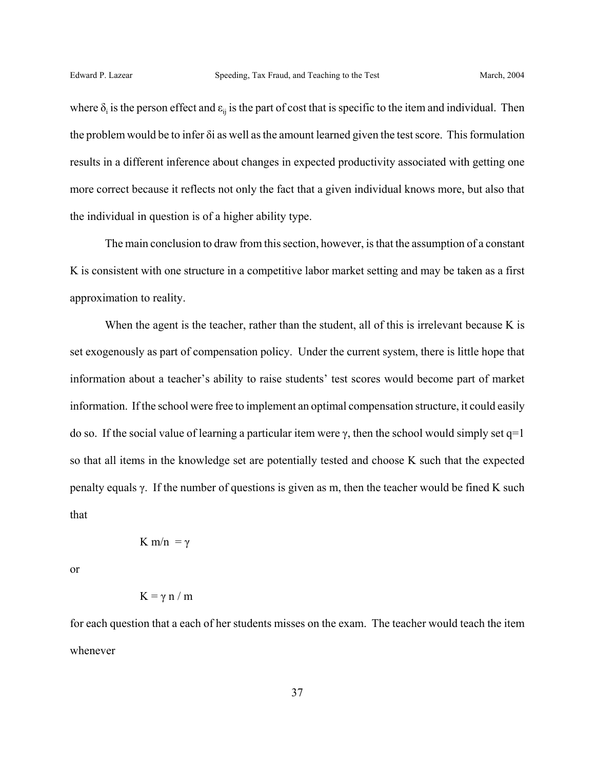where  $\delta_i$  is the person effect and  $\varepsilon_{ij}$  is the part of cost that is specific to the item and individual. Then the problem would be to infer δi as well as the amount learned given the test score. This formulation results in a different inference about changes in expected productivity associated with getting one more correct because it reflects not only the fact that a given individual knows more, but also that the individual in question is of a higher ability type.

The main conclusion to draw from this section, however, is that the assumption of a constant K is consistent with one structure in a competitive labor market setting and may be taken as a first approximation to reality.

When the agent is the teacher, rather than the student, all of this is irrelevant because K is set exogenously as part of compensation policy. Under the current system, there is little hope that information about a teacher's ability to raise students' test scores would become part of market information. If the school were free to implement an optimal compensation structure, it could easily do so. If the social value of learning a particular item were  $\gamma$ , then the school would simply set q=1 so that all items in the knowledge set are potentially tested and choose K such that the expected penalty equals  $\gamma$ . If the number of questions is given as m, then the teacher would be fined K such that

$$
K\,m/n\,=\gamma
$$

or

$$
K = \gamma n / m
$$

for each question that a each of her students misses on the exam. The teacher would teach the item whenever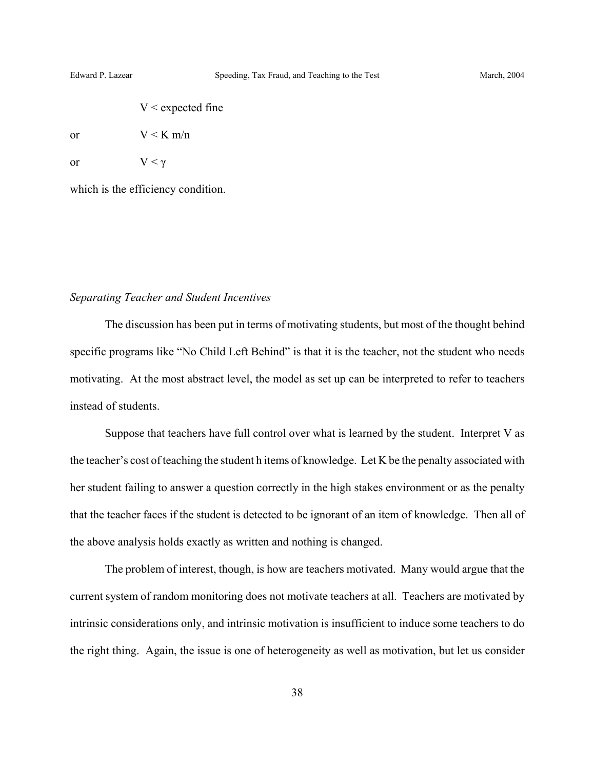| $V <$ expected fine |  |
|---------------------|--|
|---------------------|--|

or  $V < K m/n$ 

or  $V < \gamma$ 

which is the efficiency condition.

#### *Separating Teacher and Student Incentives*

The discussion has been put in terms of motivating students, but most of the thought behind specific programs like "No Child Left Behind" is that it is the teacher, not the student who needs motivating. At the most abstract level, the model as set up can be interpreted to refer to teachers instead of students.

Suppose that teachers have full control over what is learned by the student. Interpret V as the teacher's cost of teaching the student h items of knowledge. Let K be the penalty associated with her student failing to answer a question correctly in the high stakes environment or as the penalty that the teacher faces if the student is detected to be ignorant of an item of knowledge. Then all of the above analysis holds exactly as written and nothing is changed.

The problem of interest, though, is how are teachers motivated. Many would argue that the current system of random monitoring does not motivate teachers at all. Teachers are motivated by intrinsic considerations only, and intrinsic motivation is insufficient to induce some teachers to do the right thing. Again, the issue is one of heterogeneity as well as motivation, but let us consider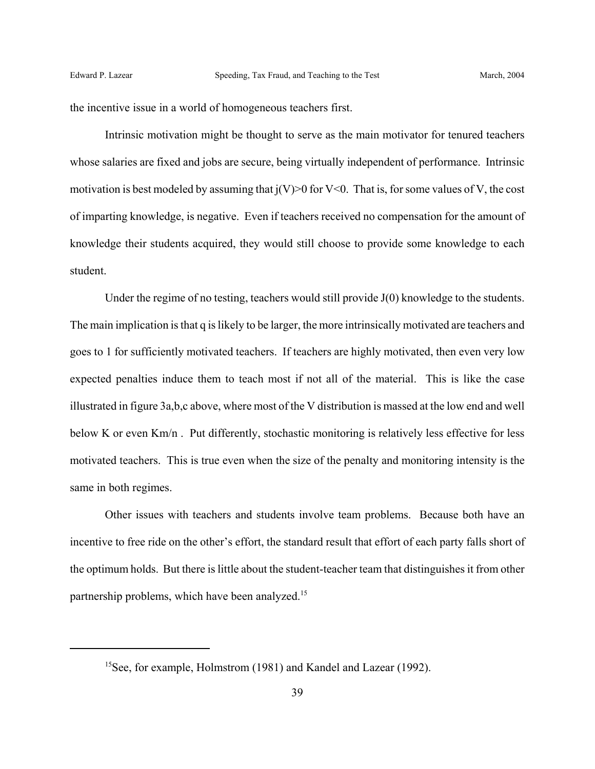the incentive issue in a world of homogeneous teachers first.

Intrinsic motivation might be thought to serve as the main motivator for tenured teachers whose salaries are fixed and jobs are secure, being virtually independent of performance. Intrinsic motivation is best modeled by assuming that  $j(V)$  for V<0. That is, for some values of V, the cost of imparting knowledge, is negative. Even if teachers received no compensation for the amount of knowledge their students acquired, they would still choose to provide some knowledge to each student.

Under the regime of no testing, teachers would still provide J(0) knowledge to the students. The main implication is that q is likely to be larger, the more intrinsically motivated are teachers and goes to 1 for sufficiently motivated teachers. If teachers are highly motivated, then even very low expected penalties induce them to teach most if not all of the material. This is like the case illustrated in figure 3a,b,c above, where most of the V distribution is massed at the low end and well below K or even Km/n. Put differently, stochastic monitoring is relatively less effective for less motivated teachers. This is true even when the size of the penalty and monitoring intensity is the same in both regimes.

Other issues with teachers and students involve team problems. Because both have an incentive to free ride on the other's effort, the standard result that effort of each party falls short of the optimum holds. But there is little about the student-teacher team that distinguishes it from other partnership problems, which have been analyzed.<sup>15</sup>

<sup>15</sup>See, for example, Holmstrom (1981) and Kandel and Lazear (1992).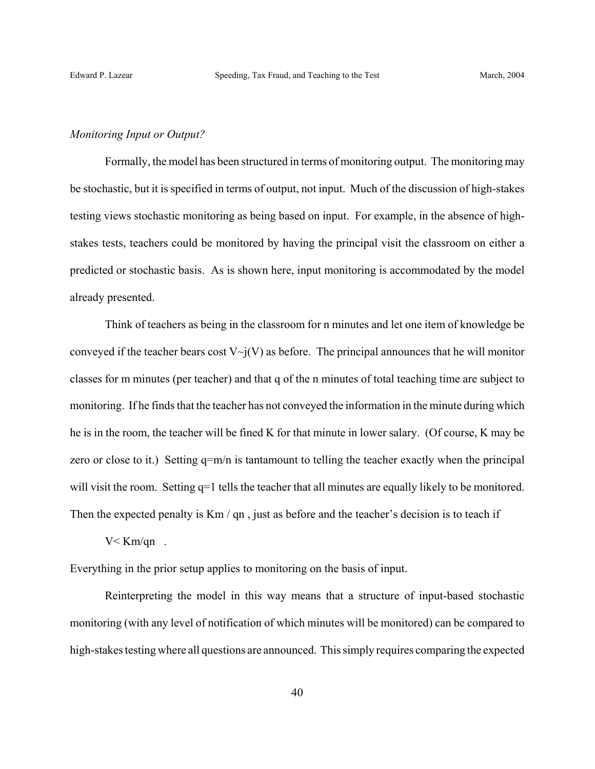#### *Monitoring Input or Output?*

Formally, the model has been structured in terms of monitoring output. The monitoring may be stochastic, but it is specified in terms of output, not input. Much of the discussion of high-stakes testing views stochastic monitoring as being based on input. For example, in the absence of highstakes tests, teachers could be monitored by having the principal visit the classroom on either a predicted or stochastic basis. As is shown here, input monitoring is accommodated by the model already presented.

Think of teachers as being in the classroom for n minutes and let one item of knowledge be conveyed if the teacher bears cost  $V\sim j(V)$  as before. The principal announces that he will monitor classes for m minutes (per teacher) and that q of the n minutes of total teaching time are subject to monitoring. If he finds that the teacher has not conveyed the information in the minute during which he is in the room, the teacher will be fined K for that minute in lower salary. (Of course, K may be zero or close to it.) Setting  $q=m/n$  is tantamount to telling the teacher exactly when the principal will visit the room. Setting  $q=1$  tells the teacher that all minutes are equally likely to be monitored. Then the expected penalty is  $Km / qn$ , just as before and the teacher's decision is to teach if

 $V <$  Km/qn.

Everything in the prior setup applies to monitoring on the basis of input.

Reinterpreting the model in this way means that a structure of input-based stochastic monitoring (with any level of notification of which minutes will be monitored) can be compared to high-stakes testing where all questions are announced. This simply requires comparing the expected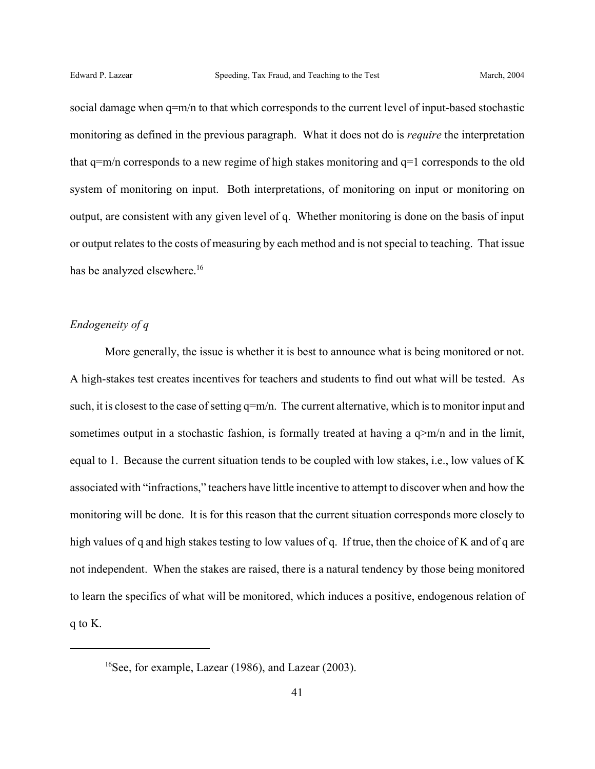social damage when q=m/n to that which corresponds to the current level of input-based stochastic monitoring as defined in the previous paragraph. What it does not do is *require* the interpretation that q=m/n corresponds to a new regime of high stakes monitoring and q=1 corresponds to the old system of monitoring on input. Both interpretations, of monitoring on input or monitoring on output, are consistent with any given level of q. Whether monitoring is done on the basis of input or output relates to the costs of measuring by each method and is not special to teaching. That issue has be analyzed elsewhere.<sup>16</sup>

## *Endogeneity of q*

More generally, the issue is whether it is best to announce what is being monitored or not. A high-stakes test creates incentives for teachers and students to find out what will be tested. As such, it is closest to the case of setting  $q=m/n$ . The current alternative, which is to monitor input and sometimes output in a stochastic fashion, is formally treated at having a  $q>m/n$  and in the limit, equal to 1. Because the current situation tends to be coupled with low stakes, i.e., low values of K associated with "infractions," teachers have little incentive to attempt to discover when and how the monitoring will be done. It is for this reason that the current situation corresponds more closely to high values of q and high stakes testing to low values of q. If true, then the choice of K and of q are not independent. When the stakes are raised, there is a natural tendency by those being monitored to learn the specifics of what will be monitored, which induces a positive, endogenous relation of q to K.

<sup>&</sup>lt;sup>16</sup>See, for example, Lazear (1986), and Lazear (2003).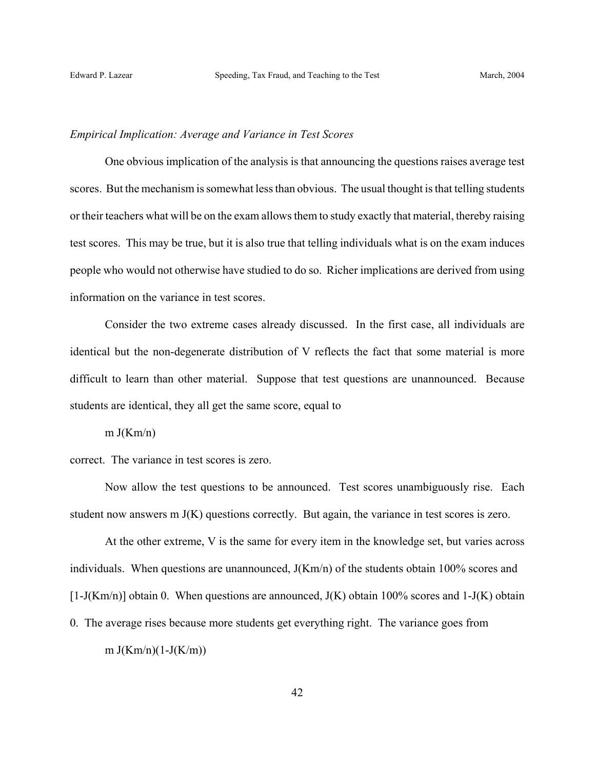## *Empirical Implication: Average and Variance in Test Scores*

One obvious implication of the analysis is that announcing the questions raises average test scores. But the mechanism is somewhat less than obvious. The usual thought is that telling students or their teachers what will be on the exam allows them to study exactly that material, thereby raising test scores. This may be true, but it is also true that telling individuals what is on the exam induces people who would not otherwise have studied to do so. Richer implications are derived from using information on the variance in test scores.

Consider the two extreme cases already discussed. In the first case, all individuals are identical but the non-degenerate distribution of V reflects the fact that some material is more difficult to learn than other material. Suppose that test questions are unannounced. Because students are identical, they all get the same score, equal to

 $m J(Km/n)$ 

correct. The variance in test scores is zero.

Now allow the test questions to be announced. Test scores unambiguously rise. Each student now answers m J(K) questions correctly. But again, the variance in test scores is zero.

At the other extreme, V is the same for every item in the knowledge set, but varies across individuals. When questions are unannounced,  $J(Km/n)$  of the students obtain 100% scores and  $[1-J(Km/n)]$  obtain 0. When questions are announced,  $J(K)$  obtain 100% scores and 1- $J(K)$  obtain 0. The average rises because more students get everything right. The variance goes from m  $J(Km/n)(1-J(K/m))$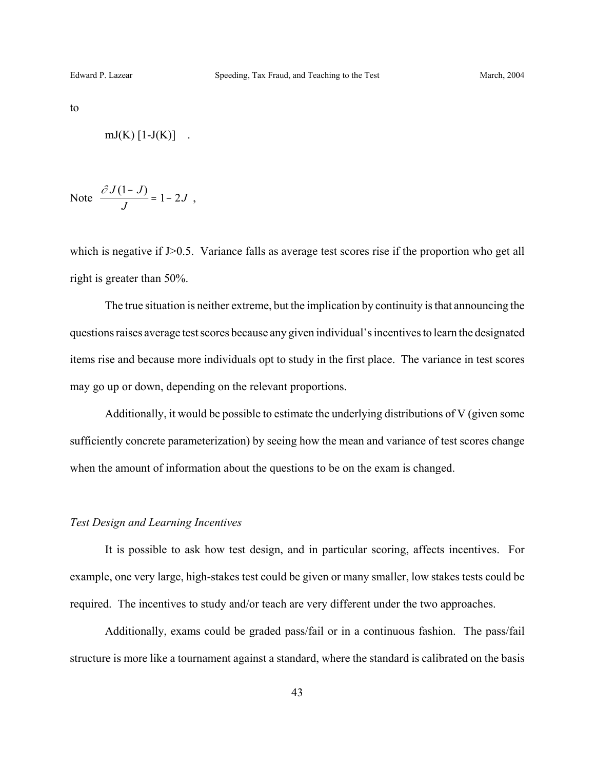to

$$
mJ(K) [1-J(K)] .
$$

Note 
$$
\frac{\partial J(1-J)}{J} = 1 - 2J
$$
,

which is negative if J>0.5. Variance falls as average test scores rise if the proportion who get all right is greater than 50%.

The true situation is neither extreme, but the implication by continuity is that announcing the questions raises average test scores because any given individual's incentives to learn the designated items rise and because more individuals opt to study in the first place. The variance in test scores may go up or down, depending on the relevant proportions.

Additionally, it would be possible to estimate the underlying distributions of V (given some sufficiently concrete parameterization) by seeing how the mean and variance of test scores change when the amount of information about the questions to be on the exam is changed.

## *Test Design and Learning Incentives*

It is possible to ask how test design, and in particular scoring, affects incentives. For example, one very large, high-stakes test could be given or many smaller, low stakes tests could be required. The incentives to study and/or teach are very different under the two approaches.

Additionally, exams could be graded pass/fail or in a continuous fashion. The pass/fail structure is more like a tournament against a standard, where the standard is calibrated on the basis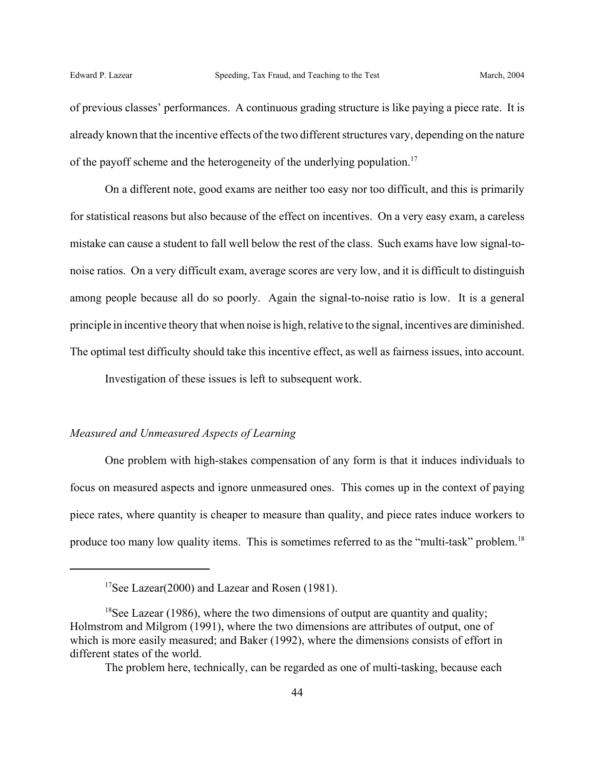of previous classes' performances. A continuous grading structure is like paying a piece rate. It is already known that the incentive effects of the two different structures vary, depending on the nature of the payoff scheme and the heterogeneity of the underlying population.<sup>17</sup>

On a different note, good exams are neither too easy nor too difficult, and this is primarily for statistical reasons but also because of the effect on incentives. On a very easy exam, a careless mistake can cause a student to fall well below the rest of the class. Such exams have low signal-tonoise ratios. On a very difficult exam, average scores are very low, and it is difficult to distinguish among people because all do so poorly. Again the signal-to-noise ratio is low. It is a general principle in incentive theory that when noise is high, relative to the signal, incentives are diminished. The optimal test difficulty should take this incentive effect, as well as fairness issues, into account.

Investigation of these issues is left to subsequent work.

## *Measured and Unmeasured Aspects of Learning*

One problem with high-stakes compensation of any form is that it induces individuals to focus on measured aspects and ignore unmeasured ones. This comes up in the context of paying piece rates, where quantity is cheaper to measure than quality, and piece rates induce workers to produce too many low quality items. This is sometimes referred to as the "multi-task" problem.<sup>18</sup>

<sup>&</sup>lt;sup>17</sup>See Lazear(2000) and Lazear and Rosen (1981).

<sup>&</sup>lt;sup>18</sup>See Lazear (1986), where the two dimensions of output are quantity and quality; Holmstrom and Milgrom (1991), where the two dimensions are attributes of output, one of which is more easily measured; and Baker (1992), where the dimensions consists of effort in different states of the world.

The problem here, technically, can be regarded as one of multi-tasking, because each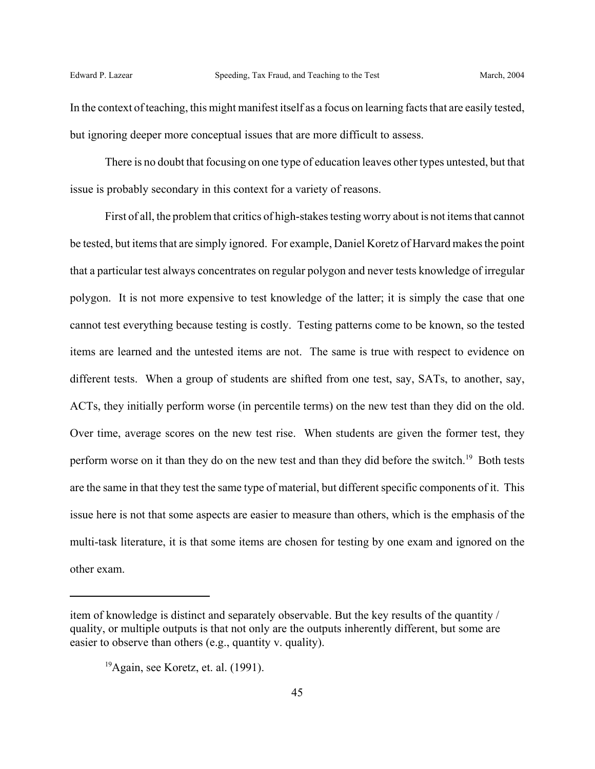In the context of teaching, this might manifest itself as a focus on learning facts that are easily tested, but ignoring deeper more conceptual issues that are more difficult to assess.

There is no doubt that focusing on one type of education leaves other types untested, but that issue is probably secondary in this context for a variety of reasons.

First of all, the problem that critics of high-stakes testing worry about is not items that cannot be tested, but items that are simply ignored. For example, Daniel Koretz of Harvard makes the point that a particular test always concentrates on regular polygon and never tests knowledge of irregular polygon. It is not more expensive to test knowledge of the latter; it is simply the case that one cannot test everything because testing is costly. Testing patterns come to be known, so the tested items are learned and the untested items are not. The same is true with respect to evidence on different tests. When a group of students are shifted from one test, say, SATs, to another, say, ACTs, they initially perform worse (in percentile terms) on the new test than they did on the old. Over time, average scores on the new test rise. When students are given the former test, they perform worse on it than they do on the new test and than they did before the switch.<sup>19</sup> Both tests are the same in that they test the same type of material, but different specific components of it. This issue here is not that some aspects are easier to measure than others, which is the emphasis of the multi-task literature, it is that some items are chosen for testing by one exam and ignored on the other exam.

item of knowledge is distinct and separately observable. But the key results of the quantity / quality, or multiple outputs is that not only are the outputs inherently different, but some are easier to observe than others (e.g., quantity v. quality).

 $19$ Again, see Koretz, et. al. (1991).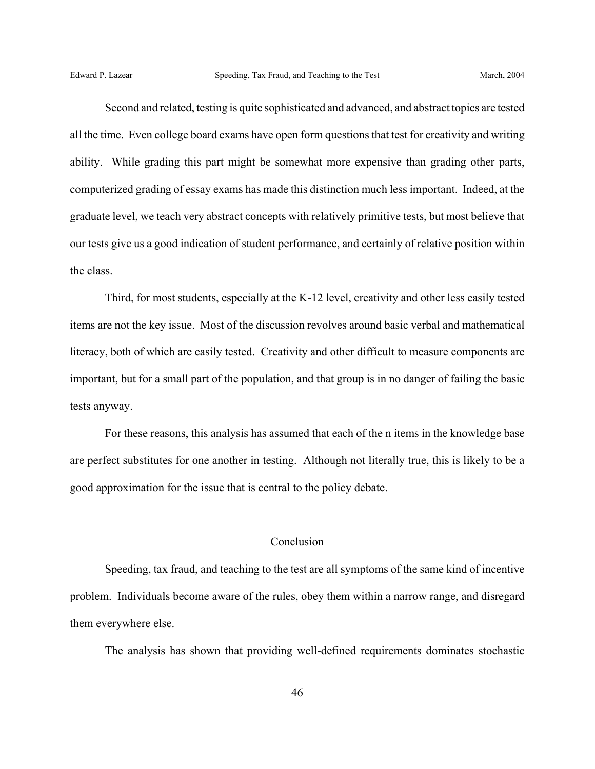Second and related, testing is quite sophisticated and advanced, and abstract topics are tested all the time. Even college board exams have open form questions that test for creativity and writing ability. While grading this part might be somewhat more expensive than grading other parts, computerized grading of essay exams has made this distinction much less important. Indeed, at the graduate level, we teach very abstract concepts with relatively primitive tests, but most believe that our tests give us a good indication of student performance, and certainly of relative position within the class.

Third, for most students, especially at the K-12 level, creativity and other less easily tested items are not the key issue. Most of the discussion revolves around basic verbal and mathematical literacy, both of which are easily tested. Creativity and other difficult to measure components are important, but for a small part of the population, and that group is in no danger of failing the basic tests anyway.

For these reasons, this analysis has assumed that each of the n items in the knowledge base are perfect substitutes for one another in testing. Although not literally true, this is likely to be a good approximation for the issue that is central to the policy debate.

## Conclusion

Speeding, tax fraud, and teaching to the test are all symptoms of the same kind of incentive problem. Individuals become aware of the rules, obey them within a narrow range, and disregard them everywhere else.

The analysis has shown that providing well-defined requirements dominates stochastic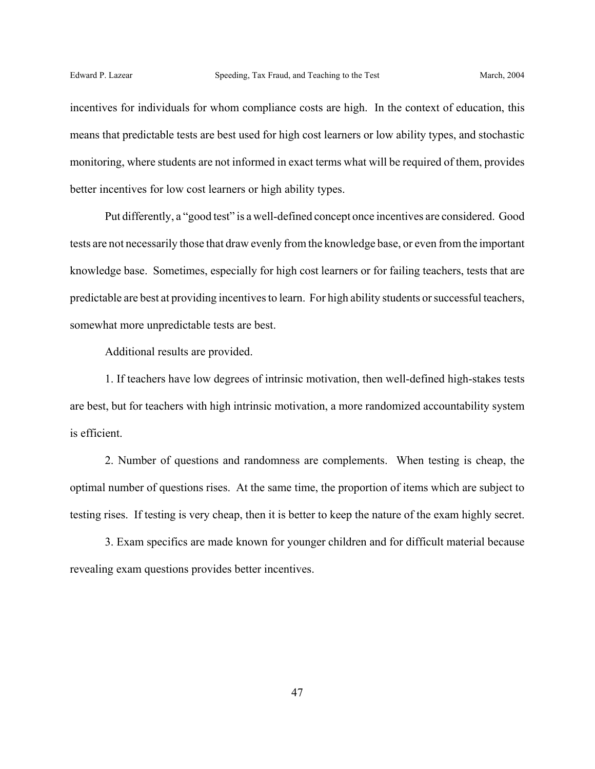incentives for individuals for whom compliance costs are high. In the context of education, this means that predictable tests are best used for high cost learners or low ability types, and stochastic monitoring, where students are not informed in exact terms what will be required of them, provides better incentives for low cost learners or high ability types.

Put differently, a "good test" is a well-defined concept once incentives are considered. Good tests are not necessarily those that draw evenly from the knowledge base, or even from the important knowledge base. Sometimes, especially for high cost learners or for failing teachers, tests that are predictable are best at providing incentives to learn. For high ability students or successful teachers, somewhat more unpredictable tests are best.

Additional results are provided.

1. If teachers have low degrees of intrinsic motivation, then well-defined high-stakes tests are best, but for teachers with high intrinsic motivation, a more randomized accountability system is efficient.

2. Number of questions and randomness are complements. When testing is cheap, the optimal number of questions rises. At the same time, the proportion of items which are subject to testing rises. If testing is very cheap, then it is better to keep the nature of the exam highly secret.

3. Exam specifics are made known for younger children and for difficult material because revealing exam questions provides better incentives.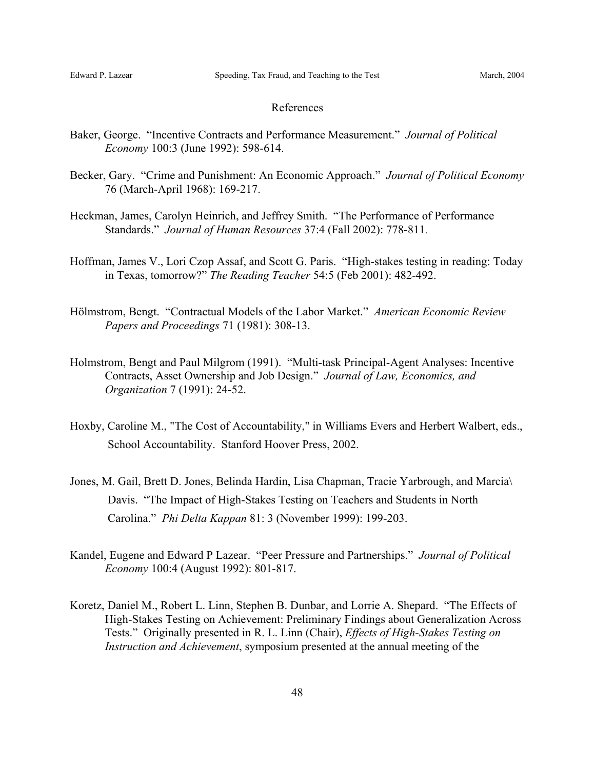#### References

- Baker, George. "Incentive Contracts and Performance Measurement." *Journal of Political Economy* 100:3 (June 1992): 598-614.
- Becker, Gary. "Crime and Punishment: An Economic Approach." *Journal of Political Economy* 76 (March-April 1968): 169-217.
- Heckman, James, Carolyn Heinrich, and Jeffrey Smith. "The Performance of Performance Standards." *Journal of Human Resources* 37:4 (Fall 2002): 778-811.
- Hoffman, James V., Lori Czop Assaf, and Scott G. Paris. "High-stakes testing in reading: Today in Texas, tomorrow?" *The Reading Teacher* 54:5 (Feb 2001): 482-492.
- Hölmstrom, Bengt. "Contractual Models of the Labor Market." *American Economic Review Papers and Proceedings* 71 (1981): 308-13.
- Holmstrom, Bengt and Paul Milgrom (1991). "Multi-task Principal-Agent Analyses: Incentive Contracts, Asset Ownership and Job Design." *Journal of Law, Economics, and Organization* 7 (1991): 24-52.
- Hoxby, Caroline M., "The Cost of Accountability," in Williams Evers and Herbert Walbert, eds., School Accountability. Stanford Hoover Press, 2002.
- Jones, M. Gail, Brett D. Jones, Belinda Hardin, Lisa Chapman, Tracie Yarbrough, and Marcia\ Davis. "The Impact of High-Stakes Testing on Teachers and Students in North Carolina." *Phi Delta Kappan* 81: 3 (November 1999): 199-203.
- Kandel, Eugene and Edward P Lazear. "Peer Pressure and Partnerships." *Journal of Political Economy* 100:4 (August 1992): 801-817.
- Koretz, Daniel M., Robert L. Linn, Stephen B. Dunbar, and Lorrie A. Shepard. "The Effects of High-Stakes Testing on Achievement: Preliminary Findings about Generalization Across Tests." Originally presented in R. L. Linn (Chair), *Effects of High-Stakes Testing on Instruction and Achievement*, symposium presented at the annual meeting of the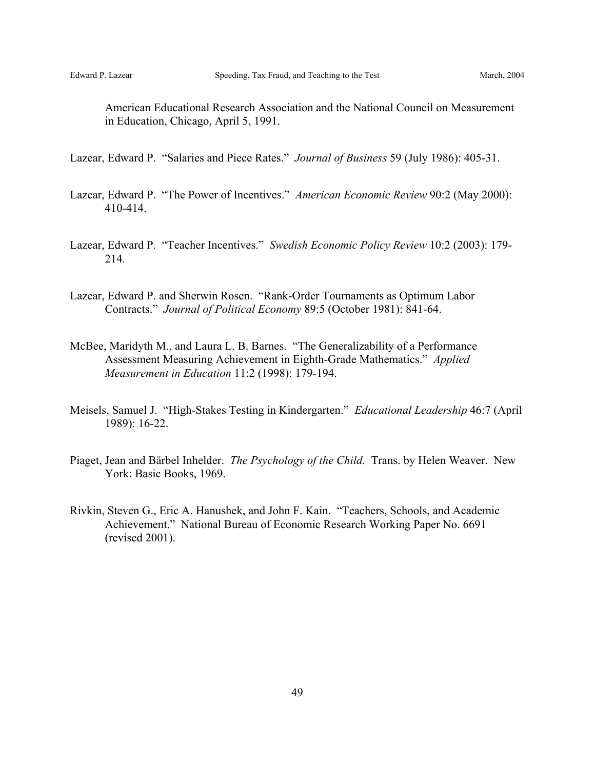American Educational Research Association and the National Council on Measurement in Education, Chicago, April 5, 1991.

Lazear, Edward P. "Salaries and Piece Rates." *Journal of Business* 59 (July 1986): 405-31.

- Lazear, Edward P. "The Power of Incentives." *American Economic Review* 90:2 (May 2000): 410-414.
- Lazear, Edward P. "Teacher Incentives." *Swedish Economic Policy Review* 10:2 (2003): 179- 214*.*
- Lazear, Edward P. and Sherwin Rosen. "Rank-Order Tournaments as Optimum Labor Contracts." *Journal of Political Economy* 89:5 (October 1981): 841-64.
- McBee, Maridyth M., and Laura L. B. Barnes. "The Generalizability of a Performance Assessment Measuring Achievement in Eighth-Grade Mathematics." *Applied Measurement in Education* 11:2 (1998): 179-194.
- Meisels, Samuel J. "High-Stakes Testing in Kindergarten." *Educational Leadership* 46:7 (April 1989): 16-22.
- Piaget, Jean and Bärbel Inhelder. *The Psychology of the Child.* Trans. by Helen Weaver. New York: Basic Books, 1969.
- Rivkin, Steven G., Eric A. Hanushek, and John F. Kain. "Teachers, Schools, and Academic Achievement." National Bureau of Economic Research Working Paper No. 6691 (revised 2001).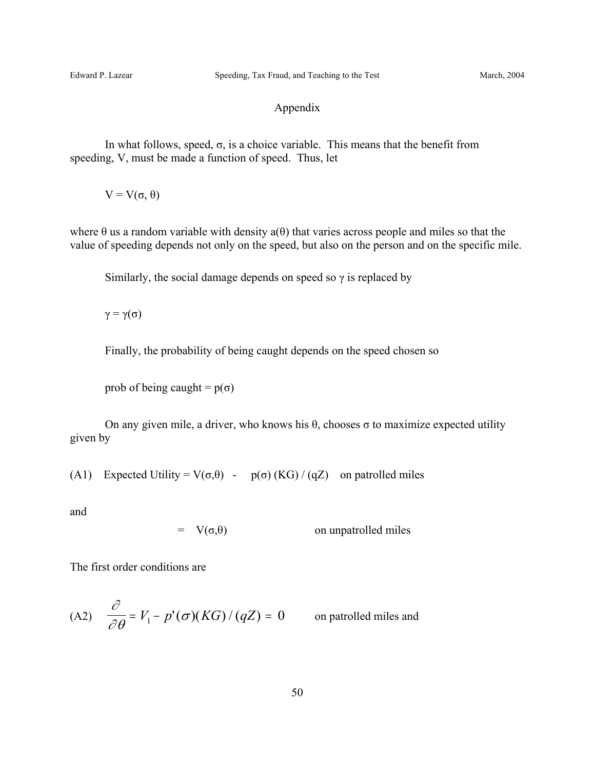## Appendix

In what follows, speed,  $\sigma$ , is a choice variable. This means that the benefit from speeding, V, must be made a function of speed. Thus, let

 $V = V(\sigma, \theta)$ 

where  $\theta$  us a random variable with density  $a(\theta)$  that varies across people and miles so that the value of speeding depends not only on the speed, but also on the person and on the specific mile.

Similarly, the social damage depends on speed so  $\gamma$  is replaced by

 $\gamma = \gamma(\sigma)$ 

Finally, the probability of being caught depends on the speed chosen so

prob of being caught =  $p(\sigma)$ 

On any given mile, a driver, who knows his  $θ$ , chooses  $σ$  to maximize expected utility given by

(A1) Expected Utility =  $V(\sigma,\theta)$  -  $p(\sigma)$  (KG) / (qZ) on patrolled miles

and

 $= V(\sigma,\theta)$  on unpatrolled miles

The first order conditions are

(A2) 
$$
\frac{\partial}{\partial \theta} = V_1 - p'(\sigma)(KG) / (qZ) = 0
$$
 on patrolled miles and